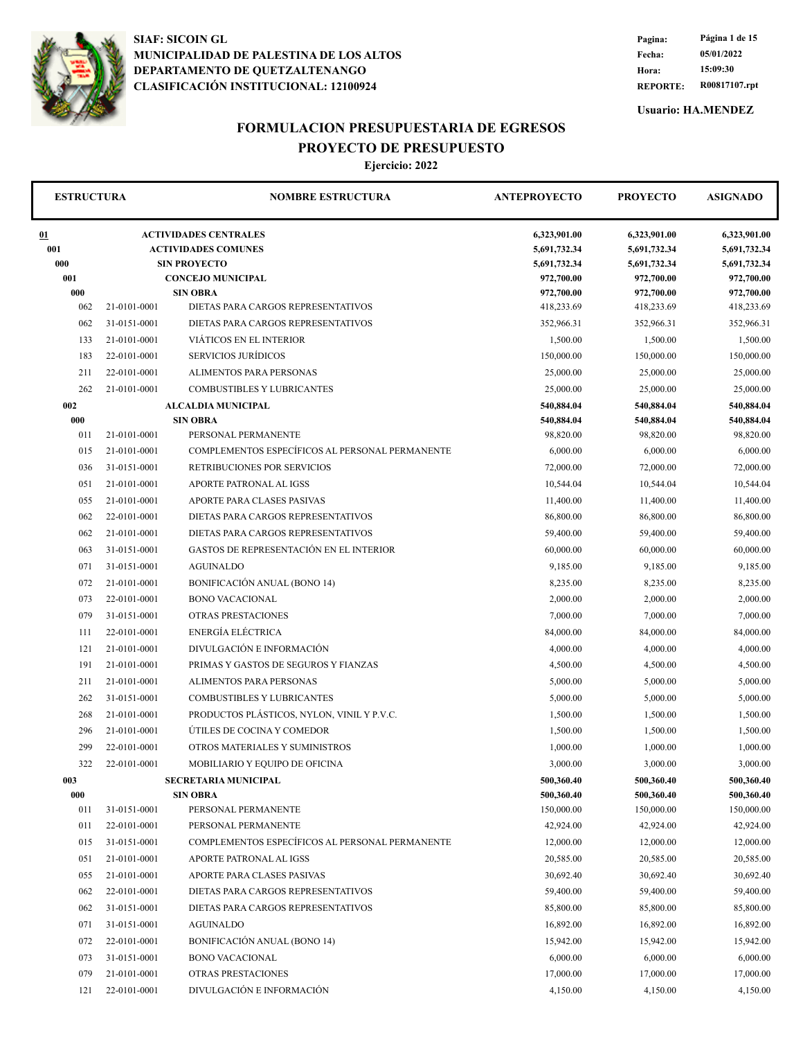

**REPORTE: R00817107.rpt Hora: 15:09:30 Fecha: 05/01/2022 Pagina: Página 1 de 15**

**Usuario: HA.MENDEZ**

### **FORMULACION PRESUPUESTARIA DE EGRESOS PROYECTO DE PRESUPUESTO**

| <b>ESTRUCTURA</b> |              | <b>NOMBRE ESTRUCTURA</b>                                   | <b>ANTEPROYECTO</b>          | <b>PROYECTO</b>              | <b>ASIGNADO</b>              |
|-------------------|--------------|------------------------------------------------------------|------------------------------|------------------------------|------------------------------|
| 01<br>001         |              | <b>ACTIVIDADES CENTRALES</b><br><b>ACTIVIDADES COMUNES</b> | 6,323,901.00<br>5,691,732.34 | 6,323,901.00<br>5,691,732.34 | 6,323,901.00<br>5,691,732.34 |
| 000               |              | <b>SIN PROYECTO</b>                                        | 5,691,732.34                 | 5,691,732.34                 | 5,691,732.34                 |
| 001               |              | <b>CONCEJO MUNICIPAL</b>                                   | 972,700.00                   | 972,700.00                   | 972,700.00                   |
| 000               |              | <b>SIN OBRA</b>                                            | 972,700.00                   | 972,700.00                   | 972,700.00                   |
| 062               | 21-0101-0001 | DIETAS PARA CARGOS REPRESENTATIVOS                         | 418,233.69                   | 418,233.69                   | 418,233.69                   |
| 062               | 31-0151-0001 | DIETAS PARA CARGOS REPRESENTATIVOS                         | 352,966.31                   | 352,966.31                   | 352,966.31                   |
| 133               | 21-0101-0001 | VIÁTICOS EN EL INTERIOR                                    | 1,500.00                     | 1,500.00                     | 1,500.00                     |
| 183               | 22-0101-0001 | SERVICIOS JURÍDICOS                                        | 150,000.00                   | 150,000.00                   | 150,000.00                   |
| 211               | 22-0101-0001 | <b>ALIMENTOS PARA PERSONAS</b>                             | 25,000.00                    | 25,000.00                    | 25,000.00                    |
| 262               | 21-0101-0001 | COMBUSTIBLES Y LUBRICANTES                                 | 25,000.00                    | 25,000.00                    | 25,000.00                    |
| 002               |              | <b>ALCALDIA MUNICIPAL</b>                                  | 540,884.04                   | 540,884.04                   | 540,884.04                   |
| 000               |              | <b>SIN OBRA</b>                                            | 540,884.04                   | 540,884.04                   | 540,884.04                   |
| 011               | 21-0101-0001 | PERSONAL PERMANENTE                                        | 98,820.00                    | 98,820.00                    | 98,820.00                    |
| 015               | 21-0101-0001 | COMPLEMENTOS ESPECÍFICOS AL PERSONAL PERMANENTE            | 6,000.00                     | 6,000.00                     | 6,000.00                     |
| 036               | 31-0151-0001 | RETRIBUCIONES POR SERVICIOS                                | 72,000.00                    | 72,000.00                    | 72,000.00                    |
| 051               | 21-0101-0001 | APORTE PATRONAL AL IGSS                                    | 10,544.04                    | 10,544.04                    | 10,544.04                    |
| 055               | 21-0101-0001 | APORTE PARA CLASES PASIVAS                                 | 11,400.00                    | 11,400.00                    | 11,400.00                    |
| 062               | 22-0101-0001 | DIETAS PARA CARGOS REPRESENTATIVOS                         | 86,800.00                    | 86,800.00                    | 86,800.00                    |
| 062               | 21-0101-0001 | DIETAS PARA CARGOS REPRESENTATIVOS                         | 59,400.00                    | 59,400.00                    | 59,400.00                    |
| 063               | 31-0151-0001 | GASTOS DE REPRESENTACIÓN EN EL INTERIOR                    | 60,000.00                    | 60,000.00                    | 60,000.00                    |
| 071               | 31-0151-0001 | <b>AGUINALDO</b>                                           | 9,185.00                     | 9,185.00                     | 9,185.00                     |
| 072               | 21-0101-0001 | <b>BONIFICACIÓN ANUAL (BONO 14)</b>                        | 8,235.00                     | 8,235.00                     | 8,235.00                     |
| 073               | 22-0101-0001 | <b>BONO VACACIONAL</b>                                     | 2,000.00                     | 2,000.00                     | 2,000.00                     |
| 079               | 31-0151-0001 | OTRAS PRESTACIONES                                         | 7,000.00                     | 7,000.00                     | 7,000.00                     |
| 111               | 22-0101-0001 | ENERGÍA ELÉCTRICA                                          | 84,000.00                    | 84,000.00                    | 84,000.00                    |
| 121               | 21-0101-0001 | DIVULGACIÓN E INFORMACIÓN                                  | 4,000.00                     | 4,000.00                     | 4,000.00                     |
| 191               | 21-0101-0001 | PRIMAS Y GASTOS DE SEGUROS Y FIANZAS                       | 4,500.00                     | 4,500.00                     | 4,500.00                     |
| 211               | 21-0101-0001 | ALIMENTOS PARA PERSONAS                                    | 5,000.00                     | 5,000.00                     | 5,000.00                     |
| 262               | 31-0151-0001 | <b>COMBUSTIBLES Y LUBRICANTES</b>                          | 5,000.00                     | 5,000.00                     | 5,000.00                     |
| 268               | 21-0101-0001 | PRODUCTOS PLÁSTICOS, NYLON, VINIL Y P.V.C.                 | 1,500.00                     | 1,500.00                     | 1,500.00                     |
| 296               | 21-0101-0001 | ÚTILES DE COCINA Y COMEDOR                                 | 1,500.00                     | 1,500.00                     | 1,500.00                     |
| 299               | 22-0101-0001 | OTROS MATERIALES Y SUMINISTROS                             | 1,000.00                     | 1,000.00                     | 1,000.00                     |
| 322               | 22-0101-0001 | MOBILIARIO Y EQUIPO DE OFICINA                             | 3,000.00                     | 3,000.00                     | 3,000.00                     |
| 003               |              | <b>SECRETARIA MUNICIPAL</b>                                | 500,360.40                   | 500,360.40                   | 500,360.40                   |
| 000               |              | <b>SIN OBRA</b>                                            | 500,360.40                   | 500,360.40                   | 500,360.40                   |
| 011               | 31-0151-0001 | PERSONAL PERMANENTE                                        | 150,000.00                   | 150,000.00                   | 150,000.00                   |
| 011               | 22-0101-0001 | PERSONAL PERMANENTE                                        | 42,924.00                    | 42,924.00                    | 42,924.00                    |
| 015               | 31-0151-0001 | COMPLEMENTOS ESPECÍFICOS AL PERSONAL PERMANENTE            | 12,000.00                    | 12,000.00                    | 12,000.00                    |
| 051               | 21-0101-0001 | APORTE PATRONAL AL IGSS                                    | 20,585.00                    | 20,585.00                    | 20,585.00                    |
| 055               | 21-0101-0001 | APORTE PARA CLASES PASIVAS                                 | 30,692.40                    | 30,692.40                    | 30,692.40                    |
| 062               | 22-0101-0001 | DIETAS PARA CARGOS REPRESENTATIVOS                         | 59,400.00                    | 59,400.00                    | 59,400.00                    |
| 062               | 31-0151-0001 | DIETAS PARA CARGOS REPRESENTATIVOS                         | 85,800.00                    | 85,800.00                    | 85,800.00                    |
| 071               | 31-0151-0001 | <b>AGUINALDO</b>                                           | 16,892.00                    | 16,892.00                    | 16,892.00                    |
| 072               | 22-0101-0001 | <b>BONIFICACIÓN ANUAL (BONO 14)</b>                        | 15,942.00                    | 15,942.00                    | 15,942.00                    |
| 073               | 31-0151-0001 | <b>BONO VACACIONAL</b>                                     | 6,000.00                     | 6,000.00                     | 6,000.00                     |
| 079               | 21-0101-0001 | OTRAS PRESTACIONES                                         | 17,000.00                    | 17,000.00                    | 17,000.00                    |
| 121               | 22-0101-0001 | DIVULGACIÓN E INFORMACIÓN                                  | 4,150.00                     | 4,150.00                     | 4,150.00                     |
|                   |              |                                                            |                              |                              |                              |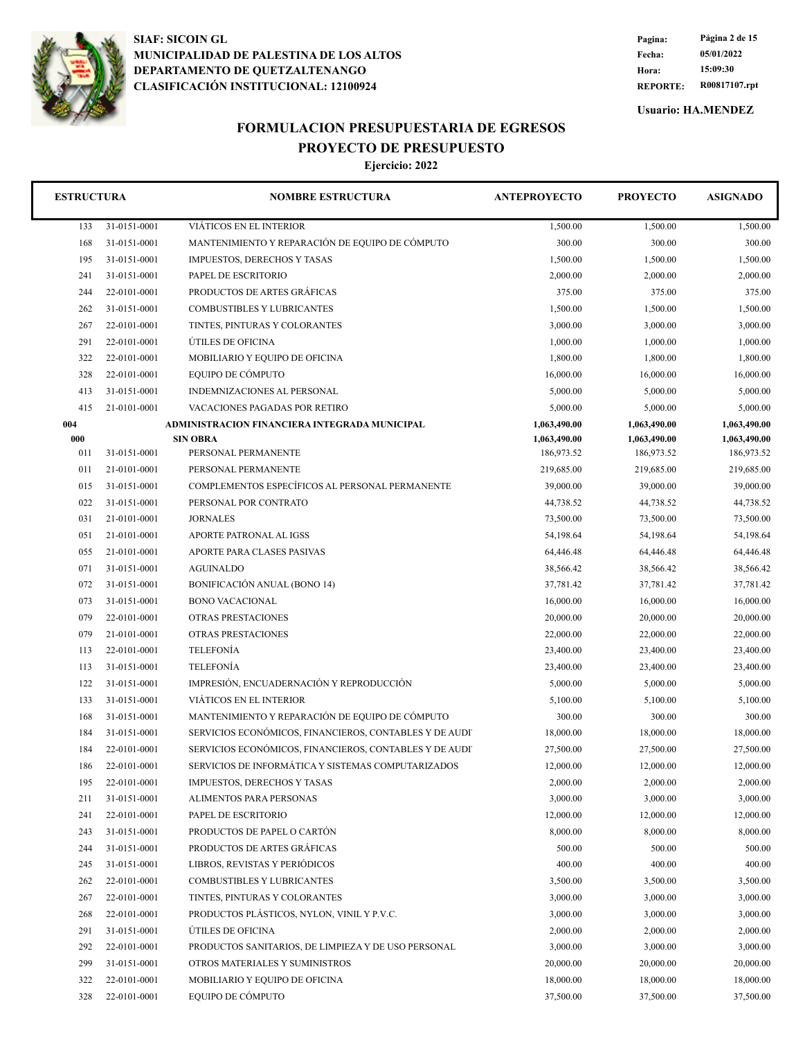

**REPORTE: R00817107.rpt Hora: 15:09:30 Fecha: 05/01/2022 Pagina: Página 2 de 15**

**Usuario: HA.MENDEZ**

## **FORMULACION PRESUPUESTARIA DE EGRESOS PROYECTO DE PRESUPUESTO**

| <b>ESTRUCTURA</b> |              | <b>NOMBRE ESTRUCTURA</b>                               | <b>ANTEPROYECTO</b> | <b>PROYECTO</b> | <b>ASIGNADO</b> |
|-------------------|--------------|--------------------------------------------------------|---------------------|-----------------|-----------------|
| 133               | 31-0151-0001 | VIÁTICOS EN EL INTERIOR                                | 1,500.00            | 1,500.00        | 1,500.00        |
| 168               | 31-0151-0001 | MANTENIMIENTO Y REPARACIÓN DE EQUIPO DE CÓMPUTO        | 300.00              | 300.00          | 300.00          |
| 195               | 31-0151-0001 | <b>IMPUESTOS, DERECHOS Y TASAS</b>                     | 1,500.00            | 1,500.00        | 1,500.00        |
| 241               | 31-0151-0001 | PAPEL DE ESCRITORIO                                    | 2,000.00            | 2,000.00        | 2,000.00        |
| 244               | 22-0101-0001 | PRODUCTOS DE ARTES GRÁFICAS                            | 375.00              | 375.00          | 375.00          |
| 262               | 31-0151-0001 | COMBUSTIBLES Y LUBRICANTES                             | 1,500.00            | 1,500.00        | 1,500.00        |
| 267               | 22-0101-0001 | TINTES, PINTURAS Y COLORANTES                          | 3,000.00            | 3,000.00        | 3,000.00        |
| 291               | 22-0101-0001 | ÚTILES DE OFICINA                                      | 1,000.00            | 1,000.00        | 1,000.00        |
| 322               | 22-0101-0001 | MOBILIARIO Y EQUIPO DE OFICINA                         | 1,800.00            | 1,800.00        | 1,800.00        |
| 328               | 22-0101-0001 | EQUIPO DE CÓMPUTO                                      | 16,000.00           | 16,000.00       | 16,000.00       |
| 413               | 31-0151-0001 | INDEMNIZACIONES AL PERSONAL                            | 5,000.00            | 5,000.00        | 5,000.00        |
| 415               | 21-0101-0001 | VACACIONES PAGADAS POR RETIRO                          | 5,000.00            | 5,000.00        | 5,000.00        |
| 004               |              | ADMINISTRACION FINANCIERA INTEGRADA MUNICIPAL          | 1,063,490.00        | 1,063,490.00    | 1,063,490.00    |
| 000               |              | <b>SIN OBRA</b>                                        | 1,063,490.00        | 1,063,490.00    | 1,063,490.00    |
| 011               | 31-0151-0001 | PERSONAL PERMANENTE                                    | 186,973.52          | 186,973.52      | 186,973.52      |
| 011               | 21-0101-0001 | PERSONAL PERMANENTE                                    | 219,685.00          | 219,685.00      | 219,685.00      |
| 015               | 31-0151-0001 | COMPLEMENTOS ESPECÍFICOS AL PERSONAL PERMANENTE        | 39,000.00           | 39,000.00       | 39,000.00       |
| 022               | 31-0151-0001 | PERSONAL POR CONTRATO                                  | 44,738.52           | 44,738.52       | 44,738.52       |
| 031               | 21-0101-0001 | <b>JORNALES</b>                                        | 73,500.00           | 73,500.00       | 73,500.00       |
| 051               | 21-0101-0001 | APORTE PATRONAL AL IGSS                                | 54,198.64           | 54,198.64       | 54,198.64       |
| 055               | 21-0101-0001 | APORTE PARA CLASES PASIVAS                             | 64,446.48           | 64,446.48       | 64,446.48       |
| 071               | 31-0151-0001 | <b>AGUINALDO</b>                                       | 38,566.42           | 38,566.42       | 38,566.42       |
| 072               | 31-0151-0001 | <b>BONIFICACIÓN ANUAL (BONO 14)</b>                    | 37,781.42           | 37,781.42       | 37,781.42       |
| 073               | 31-0151-0001 | <b>BONO VACACIONAL</b>                                 | 16,000.00           | 16,000.00       | 16,000.00       |
| 079               | 22-0101-0001 | OTRAS PRESTACIONES                                     | 20,000.00           | 20,000.00       | 20,000.00       |
| 079               | 21-0101-0001 | OTRAS PRESTACIONES                                     | 22,000.00           | 22,000.00       | 22,000.00       |
| 113               | 22-0101-0001 | <b>TELEFONÍA</b>                                       | 23,400.00           | 23,400.00       | 23,400.00       |
| 113               | 31-0151-0001 | <b>TELEFONÍA</b>                                       | 23,400.00           | 23,400.00       | 23,400.00       |
| 122               | 31-0151-0001 | IMPRESIÓN, ENCUADERNACIÓN Y REPRODUCCIÓN               | 5,000.00            | 5,000.00        | 5,000.00        |
| 133               | 31-0151-0001 | VIÁTICOS EN EL INTERIOR                                | 5,100.00            | 5,100.00        | 5,100.00        |
| 168               | 31-0151-0001 | MANTENIMIENTO Y REPARACIÓN DE EQUIPO DE CÓMPUTO        | 300.00              | 300.00          | 300.00          |
| 184               | 31-0151-0001 | SERVICIOS ECONÓMICOS, FINANCIEROS, CONTABLES Y DE AUDI | 18,000.00           | 18,000.00       | 18,000.00       |
| 184               | 22-0101-0001 | SERVICIOS ECONÓMICOS, FINANCIEROS, CONTABLES Y DE AUDI | 27,500.00           | 27,500.00       | 27,500.00       |
| 186               | 22-0101-0001 | SERVICIOS DE INFORMÁTICA Y SISTEMAS COMPUTARIZADOS     | 12,000.00           | 12,000.00       | 12,000.00       |
| 195               | 22-0101-0001 | <b>IMPUESTOS, DERECHOS Y TASAS</b>                     | 2,000.00            | 2,000.00        | 2,000.00        |
| 211               | 31-0151-0001 | ALIMENTOS PARA PERSONAS                                | 3,000.00            | 3,000.00        | 3,000.00        |
| 241               | 22-0101-0001 | PAPEL DE ESCRITORIO                                    | 12,000.00           | 12,000.00       | 12,000.00       |
| 243               | 31-0151-0001 | PRODUCTOS DE PAPEL O CARTÓN                            | 8,000.00            | 8,000.00        | 8,000.00        |
| 244               | 31-0151-0001 | PRODUCTOS DE ARTES GRÁFICAS                            | 500.00              | 500.00          | 500.00          |
| 245               | 31-0151-0001 | LIBROS, REVISTAS Y PERIÓDICOS                          | 400.00              | 400.00          | 400.00          |
| 262               | 22-0101-0001 | COMBUSTIBLES Y LUBRICANTES                             | 3,500.00            | 3,500.00        | 3,500.00        |
| 267               | 22-0101-0001 | TINTES, PINTURAS Y COLORANTES                          | 3,000.00            | 3,000.00        | 3,000.00        |
| 268               | 22-0101-0001 | PRODUCTOS PLÁSTICOS, NYLON, VINIL Y P.V.C.             | 3,000.00            | 3,000.00        | 3,000.00        |
| 291               | 31-0151-0001 | ÚTILES DE OFICINA                                      | 2,000.00            | 2,000.00        | 2,000.00        |
| 292               | 22-0101-0001 | PRODUCTOS SANITARIOS, DE LIMPIEZA Y DE USO PERSONAL    | 3,000.00            | 3,000.00        | 3,000.00        |
| 299               | 31-0151-0001 | OTROS MATERIALES Y SUMINISTROS                         | 20,000.00           | 20,000.00       | 20,000.00       |
| 322               | 22-0101-0001 | MOBILIARIO Y EQUIPO DE OFICINA                         | 18,000.00           | 18,000.00       | 18,000.00       |
| 328               | 22-0101-0001 | EQUIPO DE CÓMPUTO                                      | 37,500.00           | 37,500.00       | 37,500.00       |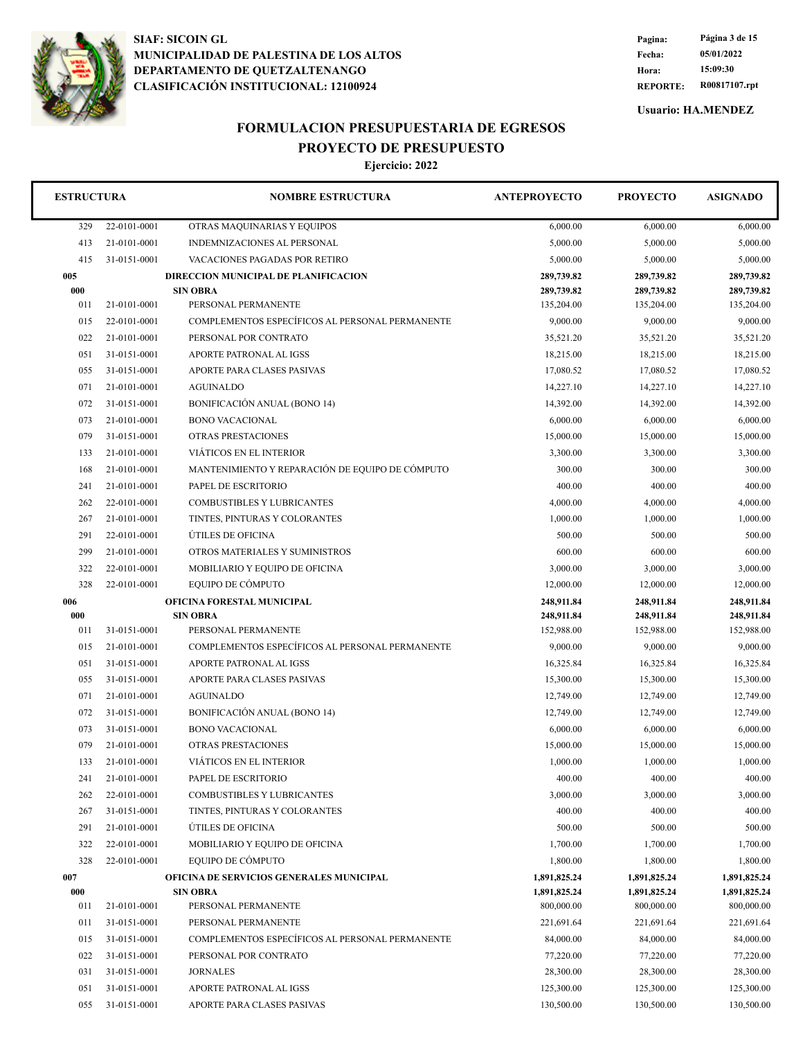

**REPORTE: R00817107.rpt Hora: 15:09:30 Fecha: 05/01/2022 Pagina: Página 3 de 15**

**Usuario: HA.MENDEZ**

## **FORMULACION PRESUPUESTARIA DE EGRESOS PROYECTO DE PRESUPUESTO**

| <b>ESTRUCTURA</b> |              | <b>NOMBRE ESTRUCTURA</b>                        | <b>ANTEPROYECTO</b> | <b>PROYECTO</b> | <b>ASIGNADO</b> |
|-------------------|--------------|-------------------------------------------------|---------------------|-----------------|-----------------|
| 329               | 22-0101-0001 | OTRAS MAQUINARIAS Y EQUIPOS                     | 6,000.00            | 6,000.00        | 6,000.00        |
| 413               | 21-0101-0001 | INDEMNIZACIONES AL PERSONAL                     | 5,000.00            | 5,000.00        | 5,000.00        |
| 415               | 31-0151-0001 | VACACIONES PAGADAS POR RETIRO                   | 5,000.00            | 5,000.00        | 5,000.00        |
| 005               |              | DIRECCION MUNICIPAL DE PLANIFICACION            | 289,739.82          | 289,739.82      | 289,739.82      |
| 000               |              | <b>SIN OBRA</b>                                 | 289,739.82          | 289,739.82      | 289,739.82      |
| 011               | 21-0101-0001 | PERSONAL PERMANENTE                             | 135,204.00          | 135,204.00      | 135,204.00      |
| 015               | 22-0101-0001 | COMPLEMENTOS ESPECÍFICOS AL PERSONAL PERMANENTE | 9,000.00            | 9,000.00        | 9,000.00        |
| 022               | 21-0101-0001 | PERSONAL POR CONTRATO                           | 35,521.20           | 35,521.20       | 35,521.20       |
| 051               | 31-0151-0001 | APORTE PATRONAL AL IGSS                         | 18,215.00           | 18,215.00       | 18,215.00       |
| 055               | 31-0151-0001 | APORTE PARA CLASES PASIVAS                      | 17,080.52           | 17,080.52       | 17,080.52       |
| 071               | 21-0101-0001 | <b>AGUINALDO</b>                                | 14,227.10           | 14,227.10       | 14,227.10       |
| 072               | 31-0151-0001 | BONIFICACIÓN ANUAL (BONO 14)                    | 14,392.00           | 14,392.00       | 14,392.00       |
| 073               | 21-0101-0001 | <b>BONO VACACIONAL</b>                          | 6,000.00            | 6,000.00        | 6,000.00        |
| 079               | 31-0151-0001 | OTRAS PRESTACIONES                              | 15,000.00           | 15,000.00       | 15,000.00       |
| 133               | 21-0101-0001 | VIÁTICOS EN EL INTERIOR                         | 3,300.00            | 3,300.00        | 3,300.00        |
| 168               | 21-0101-0001 | MANTENIMIENTO Y REPARACIÓN DE EQUIPO DE CÓMPUTO | 300.00              | 300.00          | 300.00          |
| 241               | 21-0101-0001 | PAPEL DE ESCRITORIO                             | 400.00              | 400.00          | 400.00          |
| 262               | 22-0101-0001 | COMBUSTIBLES Y LUBRICANTES                      | 4,000.00            | 4,000.00        | 4,000.00        |
| 267               | 21-0101-0001 | TINTES, PINTURAS Y COLORANTES                   | 1,000.00            | 1,000.00        | 1,000.00        |
| 291               | 22-0101-0001 | ÚTILES DE OFICINA                               | 500.00              | 500.00          | 500.00          |
| 299               | 21-0101-0001 | OTROS MATERIALES Y SUMINISTROS                  | 600.00              | 600.00          | 600.00          |
| 322               | 22-0101-0001 | MOBILIARIO Y EQUIPO DE OFICINA                  | 3,000.00            | 3,000.00        | 3,000.00        |
| 328               | 22-0101-0001 | EQUIPO DE CÓMPUTO                               | 12,000.00           | 12,000.00       | 12,000.00       |
| 006               |              | OFICINA FORESTAL MUNICIPAL                      | 248,911.84          | 248,911.84      | 248,911.84      |
| 000               |              | <b>SIN OBRA</b>                                 | 248,911.84          | 248,911.84      | 248,911.84      |
| 011               | 31-0151-0001 | PERSONAL PERMANENTE                             | 152,988.00          | 152,988.00      | 152,988.00      |
| 015               | 21-0101-0001 | COMPLEMENTOS ESPECÍFICOS AL PERSONAL PERMANENTE | 9,000.00            | 9,000.00        | 9,000.00        |
| 051               | 31-0151-0001 | APORTE PATRONAL AL IGSS                         | 16,325.84           | 16,325.84       | 16,325.84       |
| 055               | 31-0151-0001 | APORTE PARA CLASES PASIVAS                      | 15,300.00           | 15,300.00       | 15,300.00       |
| 071               | 21-0101-0001 | <b>AGUINALDO</b>                                | 12,749.00           | 12,749.00       | 12,749.00       |
| 072               | 31-0151-0001 | <b>BONIFICACIÓN ANUAL (BONO 14)</b>             | 12,749.00           | 12,749.00       | 12,749.00       |
| 073               | 31-0151-0001 | <b>BONO VACACIONAL</b>                          | 6,000.00            | 6,000.00        | 6,000.00        |
| 079               | 21-0101-0001 | <b>OTRAS PRESTACIONES</b>                       | 15,000.00           | 15,000.00       | 15,000.00       |
| 133               | 21-0101-0001 | VIÁTICOS EN EL INTERIOR                         | 1,000.00            | 1,000.00        | 1.000.00        |
| 241               | 21-0101-0001 | PAPEL DE ESCRITORIO                             | 400.00              | 400.00          | 400.00          |
| 262               | 22-0101-0001 | COMBUSTIBLES Y LUBRICANTES                      | 3,000.00            | 3,000.00        | 3,000.00        |
| 267               | 31-0151-0001 | TINTES, PINTURAS Y COLORANTES                   | 400.00              | 400.00          | 400.00          |
| 291               | 21-0101-0001 | ÚTILES DE OFICINA                               | 500.00              | 500.00          | 500.00          |
| 322               | 22-0101-0001 | MOBILIARIO Y EQUIPO DE OFICINA                  | 1,700.00            | 1,700.00        | 1,700.00        |
| 328               | 22-0101-0001 | EQUIPO DE CÓMPUTO                               | 1,800.00            | 1,800.00        | 1,800.00        |
| 007               |              | OFICINA DE SERVICIOS GENERALES MUNICIPAL        | 1,891,825.24        | 1,891,825.24    | 1,891,825.24    |
| 000               |              | <b>SIN OBRA</b>                                 | 1,891,825.24        | 1,891,825.24    | 1,891,825.24    |
| 011               | 21-0101-0001 | PERSONAL PERMANENTE                             | 800,000.00          | 800,000.00      | 800,000.00      |
| 011               | 31-0151-0001 | PERSONAL PERMANENTE                             | 221,691.64          | 221,691.64      | 221,691.64      |
| 015               | 31-0151-0001 | COMPLEMENTOS ESPECÍFICOS AL PERSONAL PERMANENTE | 84,000.00           | 84,000.00       | 84,000.00       |
| 022               | 31-0151-0001 | PERSONAL POR CONTRATO                           | 77,220.00           | 77,220.00       | 77,220.00       |
| 031               | 31-0151-0001 | <b>JORNALES</b>                                 | 28,300.00           | 28,300.00       | 28,300.00       |
| 051               | 31-0151-0001 | APORTE PATRONAL AL IGSS                         | 125,300.00          | 125,300.00      | 125,300.00      |
| 055               | 31-0151-0001 | APORTE PARA CLASES PASIVAS                      | 130,500.00          | 130,500.00      | 130,500.00      |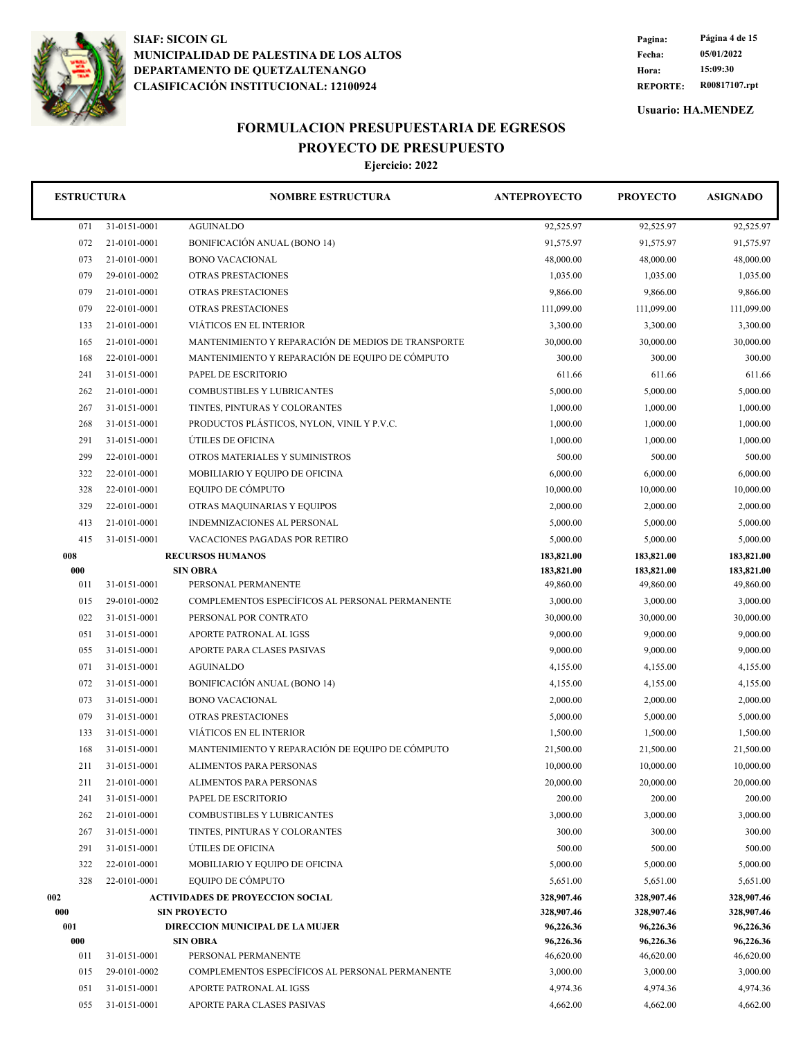

**REPORTE: R00817107.rpt Hora: 15:09:30 Fecha: 05/01/2022 Pagina: Página 4 de 15**

**Usuario: HA.MENDEZ**

## **FORMULACION PRESUPUESTARIA DE EGRESOS PROYECTO DE PRESUPUESTO**

| <b>ESTRUCTURA</b> |              | <b>NOMBRE ESTRUCTURA</b>                           | <b>ANTEPROYECTO</b>    | <b>PROYECTO</b>        | <b>ASIGNADO</b>        |
|-------------------|--------------|----------------------------------------------------|------------------------|------------------------|------------------------|
| 071               | 31-0151-0001 | <b>AGUINALDO</b>                                   | 92,525.97              | 92,525.97              | 92,525.97              |
| 072               | 21-0101-0001 | <b>BONIFICACIÓN ANUAL (BONO 14)</b>                | 91,575.97              | 91,575.97              | 91,575.97              |
| 073               | 21-0101-0001 | <b>BONO VACACIONAL</b>                             | 48,000.00              | 48,000.00              | 48,000.00              |
| 079               | 29-0101-0002 | OTRAS PRESTACIONES                                 | 1,035.00               | 1,035.00               | 1,035.00               |
| 079               | 21-0101-0001 | OTRAS PRESTACIONES                                 | 9,866.00               | 9,866.00               | 9,866.00               |
| 079               | 22-0101-0001 | OTRAS PRESTACIONES                                 | 111,099.00             | 111,099.00             | 111,099.00             |
| 133               | 21-0101-0001 | VIÁTICOS EN EL INTERIOR                            | 3,300.00               | 3,300.00               | 3,300.00               |
| 165               | 21-0101-0001 | MANTENIMIENTO Y REPARACIÓN DE MEDIOS DE TRANSPORTE | 30,000.00              | 30,000.00              | 30,000.00              |
| 168               | 22-0101-0001 | MANTENIMIENTO Y REPARACIÓN DE EQUIPO DE CÓMPUTO    | 300.00                 | 300.00                 | 300.00                 |
| 241               | 31-0151-0001 | PAPEL DE ESCRITORIO                                | 611.66                 | 611.66                 | 611.66                 |
| 262               | 21-0101-0001 | <b>COMBUSTIBLES Y LUBRICANTES</b>                  | 5,000.00               | 5,000.00               | 5,000.00               |
| 267               | 31-0151-0001 | TINTES, PINTURAS Y COLORANTES                      | 1,000.00               | 1,000.00               | 1,000.00               |
| 268               | 31-0151-0001 | PRODUCTOS PLÁSTICOS, NYLON, VINIL Y P.V.C.         | 1,000.00               | 1,000.00               | 1,000.00               |
| 291               | 31-0151-0001 | ÚTILES DE OFICINA                                  | 1,000.00               | 1,000.00               | 1,000.00               |
| 299               | 22-0101-0001 | OTROS MATERIALES Y SUMINISTROS                     | 500.00                 | 500.00                 | 500.00                 |
| 322               | 22-0101-0001 | MOBILIARIO Y EQUIPO DE OFICINA                     | 6,000.00               | 6,000.00               | 6,000.00               |
| 328               | 22-0101-0001 | EQUIPO DE CÓMPUTO                                  | 10,000.00              | 10,000.00              | 10,000.00              |
| 329               | 22-0101-0001 | OTRAS MAQUINARIAS Y EQUIPOS                        | 2,000.00               | 2,000.00               | 2,000.00               |
| 413               | 21-0101-0001 | INDEMNIZACIONES AL PERSONAL                        | 5,000.00               | 5,000.00               | 5,000.00               |
| 415               | 31-0151-0001 | VACACIONES PAGADAS POR RETIRO                      | 5,000.00               | 5,000.00               | 5,000.00               |
| 008               |              | <b>RECURSOS HUMANOS</b>                            | 183,821.00             | 183,821.00             | 183,821.00             |
| 000               |              | <b>SIN OBRA</b>                                    | 183,821.00             | 183,821.00             | 183,821.00             |
| 011               | 31-0151-0001 | PERSONAL PERMANENTE                                | 49,860.00              | 49,860.00              | 49,860.00              |
| 015               | 29-0101-0002 | COMPLEMENTOS ESPECÍFICOS AL PERSONAL PERMANENTE    | 3,000.00               | 3,000.00               | 3,000.00               |
| 022               | 31-0151-0001 | PERSONAL POR CONTRATO                              | 30,000.00              | 30,000.00              | 30,000.00              |
| 051               | 31-0151-0001 | APORTE PATRONAL AL IGSS                            | 9,000.00               | 9,000.00               | 9,000.00               |
| 055               | 31-0151-0001 | APORTE PARA CLASES PASIVAS                         | 9,000.00               | 9,000.00               | 9,000.00               |
| 071               | 31-0151-0001 | <b>AGUINALDO</b>                                   | 4,155.00               | 4,155.00               | 4,155.00               |
| 072               | 31-0151-0001 | <b>BONIFICACIÓN ANUAL (BONO 14)</b>                | 4,155.00               | 4,155.00               | 4,155.00               |
| 073               | 31-0151-0001 | <b>BONO VACACIONAL</b>                             | 2,000.00               | 2,000.00               | 2,000.00               |
| 079               | 31-0151-0001 | OTRAS PRESTACIONES                                 | 5,000.00               | 5,000.00               | 5,000.00               |
| 133               | 31-0151-0001 | VIÁTICOS EN EL INTERIOR                            | 1,500.00               | 1,500.00               | 1,500.00               |
| 168               | 31-0151-0001 | MANTENIMIENTO Y REPARACIÓN DE EQUIPO DE CÓMPUTO    | 21,500.00              | 21,500.00              | 21,500.00              |
| 211               | 31-0151-0001 | <b>ALIMENTOS PARA PERSONAS</b>                     | 10,000.00              | 10,000.00              | 10,000.00              |
| 211               | 21-0101-0001 | ALIMENTOS PARA PERSONAS                            | 20,000.00              | 20,000.00              | 20,000.00              |
| 241               | 31-0151-0001 | PAPEL DE ESCRITORIO                                | 200.00                 | 200.00                 | 200.00                 |
| 262               | 21-0101-0001 | <b>COMBUSTIBLES Y LUBRICANTES</b>                  | 3,000.00               | 3,000.00               | 3,000.00               |
| 267               | 31-0151-0001 | TINTES, PINTURAS Y COLORANTES                      | 300.00                 | 300.00                 | 300.00                 |
| 291               | 31-0151-0001 | ÚTILES DE OFICINA                                  | 500.00                 | 500.00                 | 500.00                 |
| 322               | 22-0101-0001 | MOBILIARIO Y EQUIPO DE OFICINA                     | 5,000.00               | 5,000.00               | 5,000.00               |
| 328               | 22-0101-0001 | EOUIPO DE CÓMPUTO                                  | 5,651.00               | 5,651.00               | 5,651.00               |
| 002               |              | <b>ACTIVIDADES DE PROYECCION SOCIAL</b>            | 328,907.46             | 328,907.46             | 328,907.46             |
| 000               |              | <b>SIN PROYECTO</b>                                | 328,907.46             | 328,907.46             | 328,907.46             |
| 001<br>000        |              | DIRECCION MUNICIPAL DE LA MUJER                    | 96,226.36<br>96,226.36 | 96,226.36              | 96,226.36<br>96,226.36 |
| 011               | 31-0151-0001 | <b>SIN OBRA</b><br>PERSONAL PERMANENTE             | 46,620.00              | 96,226.36<br>46,620.00 | 46,620.00              |
| 015               | 29-0101-0002 | COMPLEMENTOS ESPECÍFICOS AL PERSONAL PERMANENTE    | 3,000.00               | 3,000.00               | 3,000.00               |
| 051               | 31-0151-0001 | APORTE PATRONAL AL IGSS                            | 4,974.36               | 4,974.36               | 4,974.36               |
| 055               | 31-0151-0001 | APORTE PARA CLASES PASIVAS                         | 4,662.00               | 4,662.00               | 4,662.00               |
|                   |              |                                                    |                        |                        |                        |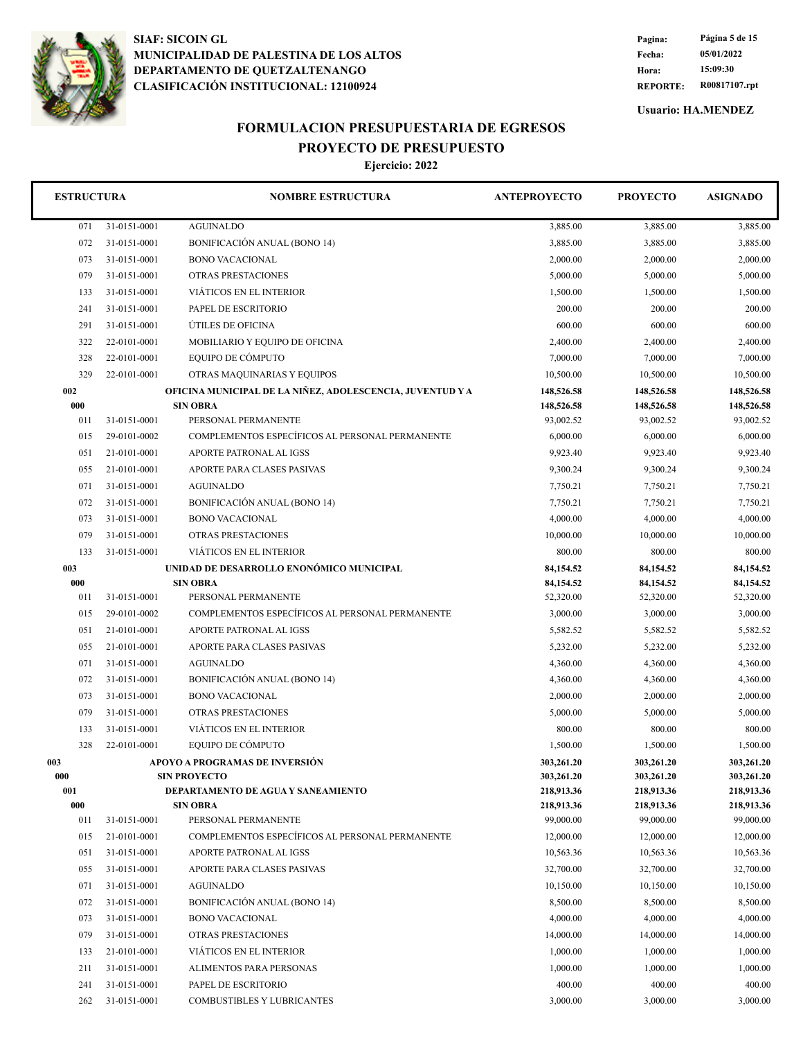

**REPORTE: R00817107.rpt Hora: 15:09:30 Fecha: 05/01/2022 Pagina: Página 5 de 15**

**Usuario: HA.MENDEZ**

# **FORMULACION PRESUPUESTARIA DE EGRESOS**

**PROYECTO DE PRESUPUESTO Ejercicio: 2022**

| EJEFCICIO: 2022 |  |
|-----------------|--|
|                 |  |

| <b>ESTRUCTURA</b> |              | <b>NOMBRE ESTRUCTURA</b>                                  | <b>ANTEPROYECTO</b>      | <b>PROYECTO</b>          | <b>ASIGNADO</b>          |
|-------------------|--------------|-----------------------------------------------------------|--------------------------|--------------------------|--------------------------|
| 071               | 31-0151-0001 | <b>AGUINALDO</b>                                          | 3,885.00                 | 3,885.00                 | 3,885.00                 |
| 072               | 31-0151-0001 | <b>BONIFICACIÓN ANUAL (BONO 14)</b>                       | 3,885.00                 | 3,885.00                 | 3,885.00                 |
| 073               | 31-0151-0001 | <b>BONO VACACIONAL</b>                                    | 2,000.00                 | 2,000.00                 | 2,000.00                 |
| 079               | 31-0151-0001 | <b>OTRAS PRESTACIONES</b>                                 | 5,000.00                 | 5,000.00                 | 5,000.00                 |
| 133               | 31-0151-0001 | VIÁTICOS EN EL INTERIOR                                   | 1,500.00                 | 1,500.00                 | 1,500.00                 |
| 241               | 31-0151-0001 | PAPEL DE ESCRITORIO                                       | 200.00                   | 200.00                   | 200.00                   |
| 291               | 31-0151-0001 | ÚTILES DE OFICINA                                         | 600.00                   | 600.00                   | 600.00                   |
| 322               | 22-0101-0001 | MOBILIARIO Y EQUIPO DE OFICINA                            | 2,400.00                 | 2,400.00                 | 2,400.00                 |
| 328               | 22-0101-0001 | EQUIPO DE CÓMPUTO                                         | 7,000.00                 | 7,000.00                 | 7,000.00                 |
| 329               | 22-0101-0001 | OTRAS MAQUINARIAS Y EQUIPOS                               | 10,500.00                | 10,500.00                | 10,500.00                |
| 002               |              | OFICINA MUNICIPAL DE LA NIÑEZ, ADOLESCENCIA, JUVENTUD Y A | 148,526.58               | 148,526.58               | 148,526.58               |
| 000               |              | <b>SIN OBRA</b>                                           | 148,526.58               | 148,526.58               | 148,526.58               |
| 011               | 31-0151-0001 | PERSONAL PERMANENTE                                       | 93,002.52                | 93,002.52                | 93,002.52                |
| 015               | 29-0101-0002 | COMPLEMENTOS ESPECÍFICOS AL PERSONAL PERMANENTE           | 6,000.00                 | 6,000.00                 | 6,000.00                 |
| 051               | 21-0101-0001 | APORTE PATRONAL AL IGSS                                   | 9,923.40                 | 9,923.40                 | 9,923.40                 |
| 055               | 21-0101-0001 | APORTE PARA CLASES PASIVAS                                | 9,300.24                 | 9,300.24                 | 9,300.24                 |
| 071               | 31-0151-0001 | <b>AGUINALDO</b>                                          | 7,750.21                 | 7,750.21                 | 7,750.21                 |
| 072               | 31-0151-0001 | BONIFICACIÓN ANUAL (BONO 14)                              | 7,750.21                 | 7,750.21                 | 7,750.21                 |
| 073               | 31-0151-0001 | <b>BONO VACACIONAL</b>                                    | 4,000.00                 | 4,000.00                 | 4,000.00                 |
| 079               | 31-0151-0001 | OTRAS PRESTACIONES                                        | 10,000.00                | 10,000.00                | 10,000.00                |
| 133               | 31-0151-0001 | VIÁTICOS EN EL INTERIOR                                   | 800.00                   | 800.00                   | 800.00                   |
| 003               |              | UNIDAD DE DESARROLLO ENONÓMICO MUNICIPAL                  | 84,154.52                | 84,154.52                | 84,154.52                |
| 000               |              | <b>SIN OBRA</b>                                           | 84,154.52                | 84,154.52                | 84,154.52                |
| 011               | 31-0151-0001 | PERSONAL PERMANENTE                                       | 52,320.00                | 52,320.00                | 52,320.00                |
| 015               | 29-0101-0002 | COMPLEMENTOS ESPECÍFICOS AL PERSONAL PERMANENTE           | 3,000.00                 | 3,000.00                 | 3,000.00                 |
| 051               | 21-0101-0001 | APORTE PATRONAL AL IGSS                                   | 5,582.52                 | 5,582.52                 | 5,582.52                 |
| 055               | 21-0101-0001 | APORTE PARA CLASES PASIVAS                                | 5,232.00                 | 5,232.00                 | 5,232.00                 |
| 071               | 31-0151-0001 | <b>AGUINALDO</b>                                          | 4,360.00                 | 4,360.00                 | 4,360.00                 |
| 072               | 31-0151-0001 | BONIFICACIÓN ANUAL (BONO 14)                              | 4,360.00                 | 4,360.00                 | 4,360.00                 |
| 073               | 31-0151-0001 | <b>BONO VACACIONAL</b>                                    | 2,000.00                 | 2,000.00                 | 2,000.00                 |
| 079               | 31-0151-0001 | OTRAS PRESTACIONES                                        | 5,000.00                 | 5,000.00                 | 5,000.00                 |
| 133               | 31-0151-0001 | VIÁTICOS EN EL INTERIOR                                   | 800.00                   | 800.00                   | 800.00                   |
| 328               | 22-0101-0001 | EQUIPO DE CÓMPUTO                                         | 1,500.00                 | 1,500.00                 | 1,500.00                 |
| 003               |              | APOYO A PROGRAMAS DE INVERSIÓN                            | 303,261.20               | 303,261.20               | 303,261.20               |
| 000               |              | <b>SIN PROYECTO</b>                                       | 303,261.20               | 303,261.20               | 303,261.20               |
| 001<br>000        |              | DEPARTAMENTO DE AGUA Y SANEAMIENTO<br><b>SIN OBRA</b>     | 218,913.36<br>218,913.36 | 218,913.36<br>218,913.36 | 218,913.36<br>218,913.36 |
| 011               | 31-0151-0001 | PERSONAL PERMANENTE                                       | 99,000.00                | 99,000.00                | 99,000.00                |
| 015               | 21-0101-0001 | COMPLEMENTOS ESPECÍFICOS AL PERSONAL PERMANENTE           | 12,000.00                | 12,000.00                | 12,000.00                |
| 051               | 31-0151-0001 | APORTE PATRONAL AL IGSS                                   | 10,563.36                | 10,563.36                | 10,563.36                |
| 055               | 31-0151-0001 | APORTE PARA CLASES PASIVAS                                | 32,700.00                | 32,700.00                | 32,700.00                |
| 071               | 31-0151-0001 | AGUINALDO                                                 | 10,150.00                | 10,150.00                | 10,150.00                |
| 072               | 31-0151-0001 | <b>BONIFICACIÓN ANUAL (BONO 14)</b>                       | 8,500.00                 | 8,500.00                 | 8,500.00                 |
| 073               | 31-0151-0001 | <b>BONO VACACIONAL</b>                                    | 4,000.00                 | 4,000.00                 | 4,000.00                 |
| 079               | 31-0151-0001 | OTRAS PRESTACIONES                                        | 14,000.00                | 14,000.00                | 14,000.00                |
| 133               | 21-0101-0001 | VIÁTICOS EN EL INTERIOR                                   | 1,000.00                 | 1,000.00                 | 1,000.00                 |
| 211               | 31-0151-0001 | ALIMENTOS PARA PERSONAS                                   | 1,000.00                 | 1,000.00                 | 1,000.00                 |
| 241               | 31-0151-0001 | PAPEL DE ESCRITORIO                                       | 400.00                   | 400.00                   | 400.00                   |
| 262               | 31-0151-0001 | COMBUSTIBLES Y LUBRICANTES                                | 3,000.00                 | 3,000.00                 | 3,000.00                 |
|                   |              |                                                           |                          |                          |                          |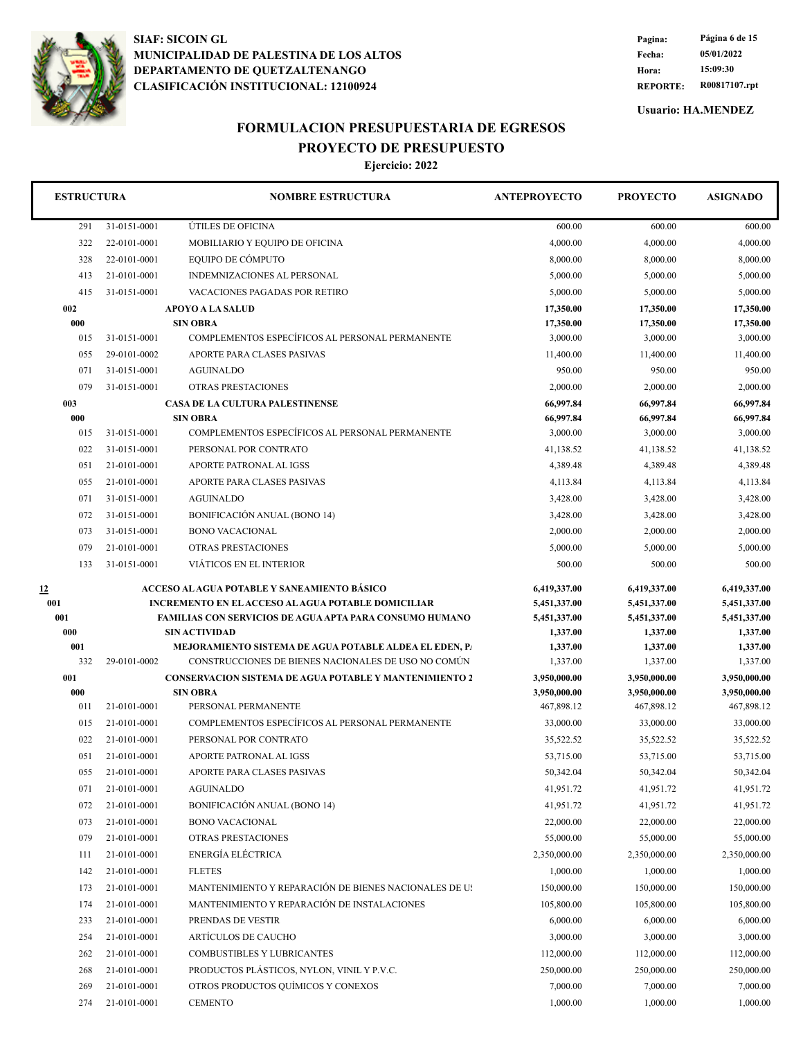

**REPORTE: R00817107.rpt Hora: 15:09:30 Fecha: 05/01/2022 Pagina: Página 6 de 15**

**Usuario: HA.MENDEZ**

## **FORMULACION PRESUPUESTARIA DE EGRESOS PROYECTO DE PRESUPUESTO**

| <b>ESTRUCTURA</b> |              | <b>NOMBRE ESTRUCTURA</b>                                                              | <b>ANTEPROYECTO</b>  | <b>PROYECTO</b>      | <b>ASIGNADO</b>      |
|-------------------|--------------|---------------------------------------------------------------------------------------|----------------------|----------------------|----------------------|
| 291               | 31-0151-0001 | ÚTILES DE OFICINA                                                                     | 600.00               | 600.00               | 600.00               |
| 322               | 22-0101-0001 | MOBILIARIO Y EQUIPO DE OFICINA                                                        | 4,000.00             | 4,000.00             | 4,000.00             |
| 328               | 22-0101-0001 | EOUIPO DE CÓMPUTO                                                                     | 8,000.00             | 8,000.00             | 8,000.00             |
| 413               | 21-0101-0001 | INDEMNIZACIONES AL PERSONAL                                                           | 5,000.00             | 5,000.00             | 5,000.00             |
| 415               | 31-0151-0001 | VACACIONES PAGADAS POR RETIRO                                                         | 5,000.00             | 5,000.00             | 5,000.00             |
| 002               |              | <b>APOYO A LA SALUD</b>                                                               | 17,350.00            | 17,350.00            | 17,350.00            |
| 000               |              | <b>SIN OBRA</b>                                                                       | 17,350.00            | 17,350.00            | 17,350.00            |
| 015               | 31-0151-0001 | COMPLEMENTOS ESPECÍFICOS AL PERSONAL PERMANENTE                                       | 3,000.00             | 3,000.00             | 3,000.00             |
| 055               | 29-0101-0002 | APORTE PARA CLASES PASIVAS                                                            | 11,400.00            | 11,400.00            | 11,400.00            |
| 071               | 31-0151-0001 | <b>AGUINALDO</b>                                                                      | 950.00               | 950.00               | 950.00               |
| 079               | 31-0151-0001 | <b>OTRAS PRESTACIONES</b>                                                             | 2,000.00             | 2,000.00             | 2,000.00             |
| 003               |              | <b>CASA DE LA CULTURA PALESTINENSE</b>                                                | 66,997.84            | 66,997.84            | 66,997.84            |
| 000               |              | <b>SIN OBRA</b>                                                                       | 66,997.84            | 66,997.84            | 66,997.84            |
| 015               | 31-0151-0001 | COMPLEMENTOS ESPECÍFICOS AL PERSONAL PERMANENTE                                       | 3,000.00             | 3,000.00             | 3,000.00             |
| 022               | 31-0151-0001 | PERSONAL POR CONTRATO                                                                 | 41,138.52            | 41,138.52            | 41,138.52            |
| 051               | 21-0101-0001 | <b>APORTE PATRONAL AL IGSS</b>                                                        | 4,389.48             | 4.389.48             | 4,389.48             |
| 055               | 21-0101-0001 | APORTE PARA CLASES PASIVAS                                                            | 4,113.84             | 4,113.84             | 4,113.84             |
| 071               | 31-0151-0001 | <b>AGUINALDO</b>                                                                      | 3,428.00             | 3,428.00             | 3,428.00             |
| 072               | 31-0151-0001 | <b>BONIFICACIÓN ANUAL (BONO 14)</b>                                                   | 3.428.00             | 3,428.00             | 3,428.00             |
| 073               | 31-0151-0001 | <b>BONO VACACIONAL</b>                                                                | 2,000.00             | 2,000.00             | 2,000.00             |
| 079               | 21-0101-0001 | OTRAS PRESTACIONES                                                                    | 5,000.00             | 5,000.00             | 5,000.00             |
| 133               | 31-0151-0001 | VIÁTICOS EN EL INTERIOR                                                               | 500.00               | 500.00               | 500.00               |
| <u>12</u>         |              | ACCESO AL AGUA POTABLE Y SANEAMIENTO BÁSICO                                           | 6,419,337.00         | 6,419,337.00         | 6,419,337.00         |
| 001               |              | <b>INCREMENTO EN EL ACCESO AL AGUA POTABLE DOMICILIAR</b>                             | 5,451,337.00         | 5,451,337.00         | 5,451,337.00         |
| 001               |              | <b>FAMILIAS CON SERVICIOS DE AGUA APTA PARA CONSUMO HUMANO</b>                        | 5,451,337.00         | 5,451,337.00         | 5,451,337.00         |
| 000<br>001        |              | <b>SIN ACTIVIDAD</b><br><b>MEJORAMIENTO SISTEMA DE AGUA POTABLE ALDEA EL EDEN, PA</b> | 1,337.00<br>1,337.00 | 1,337.00<br>1,337.00 | 1,337.00<br>1,337.00 |
| 332               | 29-0101-0002 | CONSTRUCCIONES DE BIENES NACIONALES DE USO NO COMÚN                                   | 1,337.00             | 1,337.00             | 1,337.00             |
| 001               |              | <b>CONSERVACION SISTEMA DE AGUA POTABLE Y MANTENIMIENTO 2</b>                         | 3,950,000.00         | 3,950,000.00         | 3,950,000.00         |
| 000               |              | <b>SIN OBRA</b>                                                                       | 3,950,000.00         | 3,950,000.00         | 3,950,000.00         |
| 011               | 21-0101-0001 | PERSONAL PERMANENTE                                                                   | 467,898.12           | 467,898.12           | 467,898.12           |
| 015               | 21-0101-0001 | COMPLEMENTOS ESPECÍFICOS AL PERSONAL PERMANENTE                                       | 33,000.00            | 33,000.00            | 33,000.00            |
| 022               | 21-0101-0001 | PERSONAL POR CONTRATO                                                                 | 35,522.52            | 35,522.52            | 35,522.52            |
| 051               | 21-0101-0001 | APORTE PATRONAL AL IGSS                                                               | 53,715.00            | 53,715.00            | 53,715.00            |
| 055               | 21-0101-0001 | APORTE PARA CLASES PASIVAS                                                            | 50,342.04            | 50,342.04            | 50,342.04            |
| 071               | 21-0101-0001 | <b>AGUINALDO</b>                                                                      | 41,951.72            | 41,951.72            | 41,951.72            |
| 072               | 21-0101-0001 | BONIFICACIÓN ANUAL (BONO 14)                                                          | 41,951.72            | 41,951.72            | 41,951.72            |
| 073               | 21-0101-0001 | <b>BONO VACACIONAL</b>                                                                | 22,000.00            | 22,000.00            | 22,000.00            |
| 079               | 21-0101-0001 | OTRAS PRESTACIONES                                                                    | 55,000.00            | 55,000.00            | 55,000.00            |
| 111               | 21-0101-0001 | ENERGÍA ELÉCTRICA                                                                     | 2,350,000.00         | 2,350,000.00         | 2,350,000.00         |
| 142               | 21-0101-0001 | <b>FLETES</b>                                                                         | 1,000.00             | 1,000.00             | 1,000.00             |
| 173               | 21-0101-0001 | MANTENIMIENTO Y REPARACIÓN DE BIENES NACIONALES DE US                                 | 150,000.00           | 150,000.00           | 150,000.00           |
| 174               | 21-0101-0001 | MANTENIMIENTO Y REPARACIÓN DE INSTALACIONES                                           | 105,800.00           | 105,800.00           | 105,800.00           |
| 233               | 21-0101-0001 | PRENDAS DE VESTIR                                                                     | 6,000.00             | 6,000.00             | 6,000.00             |
| 254               | 21-0101-0001 | ARTÍCULOS DE CAUCHO                                                                   | 3,000.00             | 3,000.00             | 3,000.00             |
| 262               | 21-0101-0001 | <b>COMBUSTIBLES Y LUBRICANTES</b>                                                     | 112,000.00           | 112,000.00           | 112,000.00           |
| 268               | 21-0101-0001 | PRODUCTOS PLÁSTICOS, NYLON, VINIL Y P.V.C.                                            | 250,000.00           | 250,000.00           | 250,000.00           |
| 269               | 21-0101-0001 | OTROS PRODUCTOS QUÍMICOS Y CONEXOS                                                    | 7,000.00             | 7,000.00             | 7,000.00             |
| 274               | 21-0101-0001 | <b>CEMENTO</b>                                                                        | 1,000.00             | 1,000.00             | 1,000.00             |
|                   |              |                                                                                       |                      |                      |                      |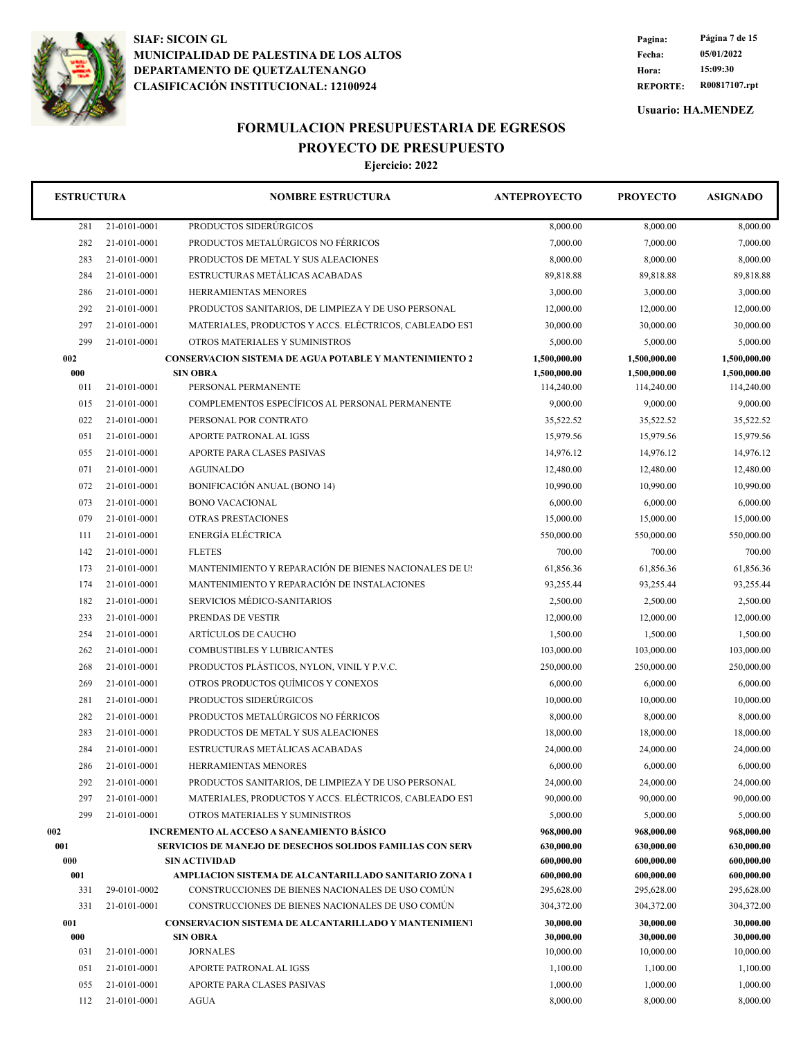

**REPORTE: R00817107.rpt Hora: 15:09:30 Fecha: 05/01/2022 Pagina: Página 7 de 15**

**Usuario: HA.MENDEZ**

## **FORMULACION PRESUPUESTARIA DE EGRESOS PROYECTO DE PRESUPUESTO**

| <b>ESTRUCTURA</b> |              | <b>NOMBRE ESTRUCTURA</b>                                         | <b>ANTEPROYECTO</b> | <b>PROYECTO</b> | <b>ASIGNADO</b> |
|-------------------|--------------|------------------------------------------------------------------|---------------------|-----------------|-----------------|
| 281               | 21-0101-0001 | PRODUCTOS SIDERÚRGICOS                                           | 8,000.00            | 8,000.00        | 8,000.00        |
| 282               | 21-0101-0001 | PRODUCTOS METALÚRGICOS NO FÉRRICOS                               | 7,000.00            | 7,000.00        | 7,000.00        |
| 283               | 21-0101-0001 | PRODUCTOS DE METAL Y SUS ALEACIONES                              | 8,000.00            | 8,000.00        | 8,000.00        |
| 284               | 21-0101-0001 | ESTRUCTURAS METALICAS ACABADAS                                   | 89,818.88           | 89,818.88       | 89,818.88       |
| 286               | 21-0101-0001 | HERRAMIENTAS MENORES                                             | 3,000.00            | 3,000.00        | 3,000.00        |
| 292               | 21-0101-0001 | PRODUCTOS SANITARIOS, DE LIMPIEZA Y DE USO PERSONAL              | 12,000.00           | 12,000.00       | 12,000.00       |
| 297               | 21-0101-0001 | MATERIALES, PRODUCTOS Y ACCS. ELÉCTRICOS, CABLEADO EST           | 30,000.00           | 30,000.00       | 30,000.00       |
| 299               | 21-0101-0001 | OTROS MATERIALES Y SUMINISTROS                                   | 5,000.00            | 5,000.00        | 5,000.00        |
| 002               |              | <b>CONSERVACION SISTEMA DE AGUA POTABLE Y MANTENIMIENTO 2</b>    | 1,500,000.00        | 1,500,000.00    | 1,500,000.00    |
| 000               |              | <b>SIN OBRA</b>                                                  | 1,500,000.00        | 1,500,000.00    | 1,500,000.00    |
| 011               | 21-0101-0001 | PERSONAL PERMANENTE                                              | 114,240.00          | 114,240.00      | 114,240.00      |
| 015               | 21-0101-0001 | COMPLEMENTOS ESPECÍFICOS AL PERSONAL PERMANENTE                  | 9,000.00            | 9,000.00        | 9,000.00        |
| 022               | 21-0101-0001 | PERSONAL POR CONTRATO                                            | 35,522.52           | 35,522.52       | 35,522.52       |
| 051               | 21-0101-0001 | APORTE PATRONAL AL IGSS                                          | 15,979.56           | 15,979.56       | 15,979.56       |
| 055               | 21-0101-0001 | APORTE PARA CLASES PASIVAS                                       | 14,976.12           | 14,976.12       | 14,976.12       |
| 071               | 21-0101-0001 | <b>AGUINALDO</b>                                                 | 12,480.00           | 12,480.00       | 12,480.00       |
| 072               | 21-0101-0001 | <b>BONIFICACIÓN ANUAL (BONO 14)</b>                              | 10,990.00           | 10,990.00       | 10,990.00       |
| 073               | 21-0101-0001 | <b>BONO VACACIONAL</b>                                           | 6,000.00            | 6,000.00        | 6,000.00        |
| 079               | 21-0101-0001 | OTRAS PRESTACIONES                                               | 15,000.00           | 15,000.00       | 15,000.00       |
| 111               | 21-0101-0001 | ENERGÍA ELÉCTRICA                                                | 550,000.00          | 550,000.00      | 550,000.00      |
| 142               | 21-0101-0001 | <b>FLETES</b>                                                    | 700.00              | 700.00          | 700.00          |
| 173               | 21-0101-0001 | MANTENIMIENTO Y REPARACIÓN DE BIENES NACIONALES DE US            | 61,856.36           | 61,856.36       | 61,856.36       |
| 174               | 21-0101-0001 | MANTENIMIENTO Y REPARACIÓN DE INSTALACIONES                      | 93,255.44           | 93,255.44       | 93,255.44       |
| 182               | 21-0101-0001 | SERVICIOS MÉDICO-SANITARIOS                                      | 2,500.00            | 2,500.00        | 2,500.00        |
| 233               | 21-0101-0001 | PRENDAS DE VESTIR                                                | 12,000.00           | 12,000.00       | 12,000.00       |
| 254               | 21-0101-0001 | ARTÍCULOS DE CAUCHO                                              | 1,500.00            | 1,500.00        | 1,500.00        |
| 262               | 21-0101-0001 | COMBUSTIBLES Y LUBRICANTES                                       | 103,000.00          | 103,000.00      | 103,000.00      |
| 268               | 21-0101-0001 | PRODUCTOS PLÁSTICOS, NYLON, VINIL Y P.V.C.                       | 250,000.00          | 250,000.00      | 250,000.00      |
| 269               | 21-0101-0001 | OTROS PRODUCTOS QUÍMICOS Y CONEXOS                               | 6,000.00            | 6,000.00        | 6,000.00        |
| 281               | 21-0101-0001 | PRODUCTOS SIDERÚRGICOS                                           | 10,000.00           | 10,000.00       | 10,000.00       |
| 282               | 21-0101-0001 | PRODUCTOS METALÚRGICOS NO FÉRRICOS                               | 8,000.00            | 8,000.00        | 8,000.00        |
| 283               | 21-0101-0001 | PRODUCTOS DE METAL Y SUS ALEACIONES                              | 18,000.00           | 18,000.00       | 18,000.00       |
| 284               | 21-0101-0001 | ESTRUCTURAS METÁLICAS ACABADAS                                   | 24,000.00           | 24,000.00       | 24,000.00       |
| 286               | 21-0101-0001 | HERRAMIENTAS MENORES                                             | 6,000.00            | 6,000.00        | 6,000.00        |
| 292               | 21-0101-0001 | PRODUCTOS SANITARIOS, DE LIMPIEZA Y DE USO PERSONAL              | 24,000.00           | 24,000.00       | 24,000.00       |
| 297               | 21-0101-0001 | MATERIALES, PRODUCTOS Y ACCS. ELÉCTRICOS, CABLEADO EST           | 90,000.00           | 90,000.00       | 90,000.00       |
| 299               | 21-0101-0001 | OTROS MATERIALES Y SUMINISTROS                                   | 5,000.00            | 5,000.00        | 5,000.00        |
| 002               |              | INCREMENTO AL ACCESO A SANEAMIENTO BÁSICO                        | 968,000.00          | 968,000.00      | 968,000.00      |
| 001               |              | <b>SERVICIOS DE MANEJO DE DESECHOS SOLIDOS FAMILIAS CON SERV</b> | 630,000.00          | 630,000.00      | 630,000.00      |
| 000               |              | <b>SIN ACTIVIDAD</b>                                             | 600,000.00          | 600,000.00      | 600,000.00      |
| 001               |              | AMPLIACION SISTEMA DE ALCANTARILLADO SANITARIO ZONA 1            | 600,000.00          | 600,000.00      | 600,000.00      |
| 331               | 29-0101-0002 | CONSTRUCCIONES DE BIENES NACIONALES DE USO COMÚN                 | 295,628.00          | 295,628.00      | 295,628.00      |
| 331               | 21-0101-0001 | CONSTRUCCIONES DE BIENES NACIONALES DE USO COMÚN                 | 304,372.00          | 304,372.00      | 304,372.00      |
| 001               |              | <b>CONSERVACION SISTEMA DE ALCANTARILLADO Y MANTENIMIENT</b>     | 30,000.00           | 30,000.00       | 30,000.00       |
| 000               |              | <b>SIN OBRA</b>                                                  | 30,000.00           | 30,000.00       | 30,000.00       |
| 031               | 21-0101-0001 | <b>JORNALES</b>                                                  | 10,000.00           | 10,000.00       | 10,000.00       |
| 051               | 21-0101-0001 | APORTE PATRONAL AL IGSS                                          | 1,100.00            | 1,100.00        | 1,100.00        |
| 055               | 21-0101-0001 | APORTE PARA CLASES PASIVAS                                       | 1,000.00            | 1,000.00        | 1,000.00        |
| 112               | 21-0101-0001 | AGUA                                                             | 8,000.00            | 8,000.00        | 8,000.00        |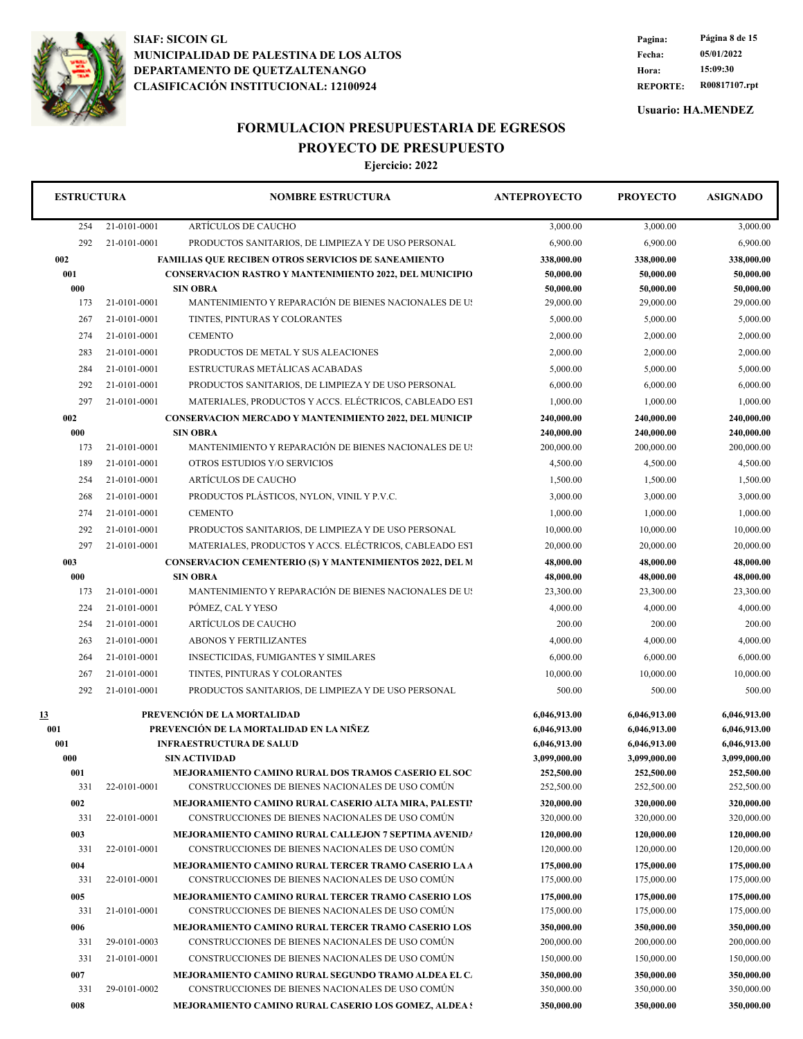

**REPORTE: R00817107.rpt Hora: 15:09:30 Fecha: 05/01/2022 Pagina: Página 8 de 15**

**Usuario: HA.MENDEZ**

# **FORMULACION PRESUPUESTARIA DE EGRESOS PROYECTO DE PRESUPUESTO**

| <b>ESTRUCTURA</b> |              | <b>NOMBRE ESTRUCTURA</b>                                                 | <b>ANTEPROYECTO</b>    | <b>PROYECTO</b>        | <b>ASIGNADO</b>        |
|-------------------|--------------|--------------------------------------------------------------------------|------------------------|------------------------|------------------------|
| 254               | 21-0101-0001 | ARTÍCULOS DE CAUCHO                                                      | 3,000.00               | 3,000.00               | 3,000.00               |
| 292               | 21-0101-0001 | PRODUCTOS SANITARIOS, DE LIMPIEZA Y DE USO PERSONAL                      | 6,900.00               | 6,900.00               | 6,900.00               |
| 002               |              | <b>FAMILIAS QUE RECIBEN OTROS SERVICIOS DE SANEAMIENTO</b>               | 338,000.00             | 338,000.00             | 338,000.00             |
| 001               |              | <b>CONSERVACION RASTRO Y MANTENIMIENTO 2022, DEL MUNICIPIO</b>           | 50,000.00              | 50,000.00              | 50,000.00              |
| 000               |              | <b>SIN OBRA</b>                                                          | 50,000.00              | 50,000.00              | 50,000.00              |
| 173               | 21-0101-0001 | MANTENIMIENTO Y REPARACIÓN DE BIENES NACIONALES DE US                    | 29,000.00              | 29,000.00              | 29,000.00              |
| 267               | 21-0101-0001 | TINTES. PINTURAS Y COLORANTES                                            | 5,000.00               | 5,000.00               | 5,000.00               |
| 274               | 21-0101-0001 | <b>CEMENTO</b>                                                           | 2,000.00               | 2,000.00               | 2,000.00               |
| 283               | 21-0101-0001 | PRODUCTOS DE METAL Y SUS ALEACIONES                                      | 2,000.00               | 2,000.00               | 2,000.00               |
| 284               | 21-0101-0001 | ESTRUCTURAS METÁLICAS ACABADAS                                           | 5,000.00               | 5,000.00               | 5,000.00               |
| 292               | 21-0101-0001 | PRODUCTOS SANITARIOS, DE LIMPIEZA Y DE USO PERSONAL                      | 6,000.00               | 6,000.00               | 6,000.00               |
| 297               | 21-0101-0001 | MATERIALES, PRODUCTOS Y ACCS. ELÉCTRICOS, CABLEADO EST                   | 1,000.00               | 1,000.00               | 1,000.00               |
| 002               |              | <b>CONSERVACION MERCADO Y MANTENIMIENTO 2022, DEL MUNICIP</b>            | 240,000.00             | 240,000.00             | 240,000.00             |
| 000               |              | <b>SIN OBRA</b>                                                          | 240,000.00             | 240,000.00             | 240,000.00             |
| 173               | 21-0101-0001 | MANTENIMIENTO Y REPARACIÓN DE BIENES NACIONALES DE US                    | 200,000.00             | 200,000.00             | 200,000.00             |
| 189               | 21-0101-0001 | OTROS ESTUDIOS Y/O SERVICIOS                                             | 4,500.00               | 4,500.00               | 4,500.00               |
| 254               | 21-0101-0001 | ARTÍCULOS DE CAUCHO                                                      | 1,500.00               | 1,500.00               | 1,500.00               |
| 268               | 21-0101-0001 | PRODUCTOS PLÁSTICOS, NYLON, VINIL Y P.V.C.                               | 3,000.00               | 3,000.00               | 3,000.00               |
| 274               | 21-0101-0001 | <b>CEMENTO</b>                                                           | 1,000.00               | 1,000.00               | 1,000.00               |
| 292               | 21-0101-0001 | PRODUCTOS SANITARIOS, DE LIMPIEZA Y DE USO PERSONAL                      | 10,000.00              | 10,000.00              | 10,000.00              |
|                   |              |                                                                          |                        |                        |                        |
| 297               | 21-0101-0001 | MATERIALES, PRODUCTOS Y ACCS. ELÉCTRICOS, CABLEADO EST                   | 20,000.00              | 20,000.00              | 20,000.00              |
| 003               |              | <b>CONSERVACION CEMENTERIO (S) Y MANTENIMIENTOS 2022, DEL M</b>          | 48,000.00              | 48,000.00              | 48,000.00              |
| 000<br>173        | 21-0101-0001 | <b>SIN OBRA</b><br>MANTENIMIENTO Y REPARACIÓN DE BIENES NACIONALES DE US | 48,000.00<br>23,300.00 | 48,000.00<br>23,300.00 | 48,000.00<br>23,300.00 |
| 224               | 21-0101-0001 | PÓMEZ, CAL Y YESO                                                        | 4,000.00               | 4,000.00               | 4,000.00               |
|                   |              |                                                                          |                        |                        |                        |
| 254               | 21-0101-0001 | ARTÍCULOS DE CAUCHO                                                      | 200.00                 | 200.00                 | 200.00                 |
| 263               | 21-0101-0001 | <b>ABONOS Y FERTILIZANTES</b>                                            | 4,000.00               | 4,000.00               | 4,000.00               |
| 264               | 21-0101-0001 | <b>INSECTICIDAS, FUMIGANTES Y SIMILARES</b>                              | 6,000.00               | 6,000.00               | 6,000.00               |
| 267               | 21-0101-0001 | TINTES, PINTURAS Y COLORANTES                                            | 10,000.00              | 10,000.00              | 10,000.00              |
| 292               | 21-0101-0001 | PRODUCTOS SANITARIOS, DE LIMPIEZA Y DE USO PERSONAL                      | 500.00                 | 500.00                 | 500.00                 |
| 13                |              | PREVENCIÓN DE LA MORTALIDAD                                              | 6,046,913.00           | 6,046,913.00           | 6,046,913.00           |
| 001               |              | PREVENCIÓN DE LA MORTALIDAD EN LA NIÑEZ                                  | 6,046,913.00           | 6,046,913.00           | 6,046,913.00           |
| 001               |              | <b>INFRAESTRUCTURA DE SALUD</b>                                          | 6,046,913.00           | 6,046,913.00           | 6,046,913.00           |
| 000               |              | <b>SIN ACTIVIDAD</b>                                                     | 3,099,000.00           | 3,099,000.00           | 3,099,000.00           |
| 001               |              | MEJORAMIENTO CAMINO RURAL DOS TRAMOS CASERIO EL SOC                      | 252,500.00             | 252,500.00             | 252,500.00             |
| 331               | 22-0101-0001 | CONSTRUCCIONES DE BIENES NACIONALES DE USO COMÚN                         | 252,500.00             | 252,500.00             | 252,500.00             |
| 002               |              | MEJORAMIENTO CAMINO RURAL CASERIO ALTA MIRA, PALESTIN                    | 320,000.00             | 320,000.00             | 320,000.00             |
| 331               | 22-0101-0001 | CONSTRUCCIONES DE BIENES NACIONALES DE USO COMÚN                         | 320,000.00             | 320,000.00             | 320,000.00             |
| 003               |              | MEJORAMIENTO CAMINO RURAL CALLEJON 7 SEPTIMA AVENIDA                     | 120,000.00             | 120,000.00             | 120,000.00             |
| 331               | 22-0101-0001 | CONSTRUCCIONES DE BIENES NACIONALES DE USO COMÚN                         | 120,000.00             | 120,000.00             | 120,000.00             |
| 004               |              | <b>MEJORAMIENTO CAMINO RURAL TERCER TRAMO CASERIO LA A</b>               | 175,000.00             | 175,000.00             | 175,000.00             |
| 331               | 22-0101-0001 | CONSTRUCCIONES DE BIENES NACIONALES DE USO COMÚN                         | 175,000.00             | 175,000.00             | 175,000.00             |
| 005               |              | MEJORAMIENTO CAMINO RURAL TERCER TRAMO CASERIO LOS                       | 175,000.00             | 175,000.00             | 175,000.00             |
| 331               | 21-0101-0001 | CONSTRUCCIONES DE BIENES NACIONALES DE USO COMÚN                         | 175,000.00             | 175,000.00             | 175,000.00             |
| 006               |              | <b>MEJORAMIENTO CAMINO RURAL TERCER TRAMO CASERIO LOS</b>                | 350,000.00             | 350,000.00             | 350,000.00             |
| 331               | 29-0101-0003 | CONSTRUCCIONES DE BIENES NACIONALES DE USO COMÚN                         | 200,000.00             | 200,000.00             | 200,000.00             |
| 331               | 21-0101-0001 | CONSTRUCCIONES DE BIENES NACIONALES DE USO COMÚN                         | 150,000.00             | 150,000.00             | 150,000.00             |
| 007               |              | MEJORAMIENTO CAMINO RURAL SEGUNDO TRAMO ALDEA EL C.                      | 350,000.00             | 350,000.00             | 350,000.00             |
| 331               | 29-0101-0002 | CONSTRUCCIONES DE BIENES NACIONALES DE USO COMÚN                         | 350,000.00             | 350,000.00             | 350,000.00             |
| 008               |              | <b>MEJORAMIENTO CAMINO RURAL CASERIO LOS GOMEZ, ALDEA :</b>              | 350,000.00             | 350,000.00             | 350,000.00             |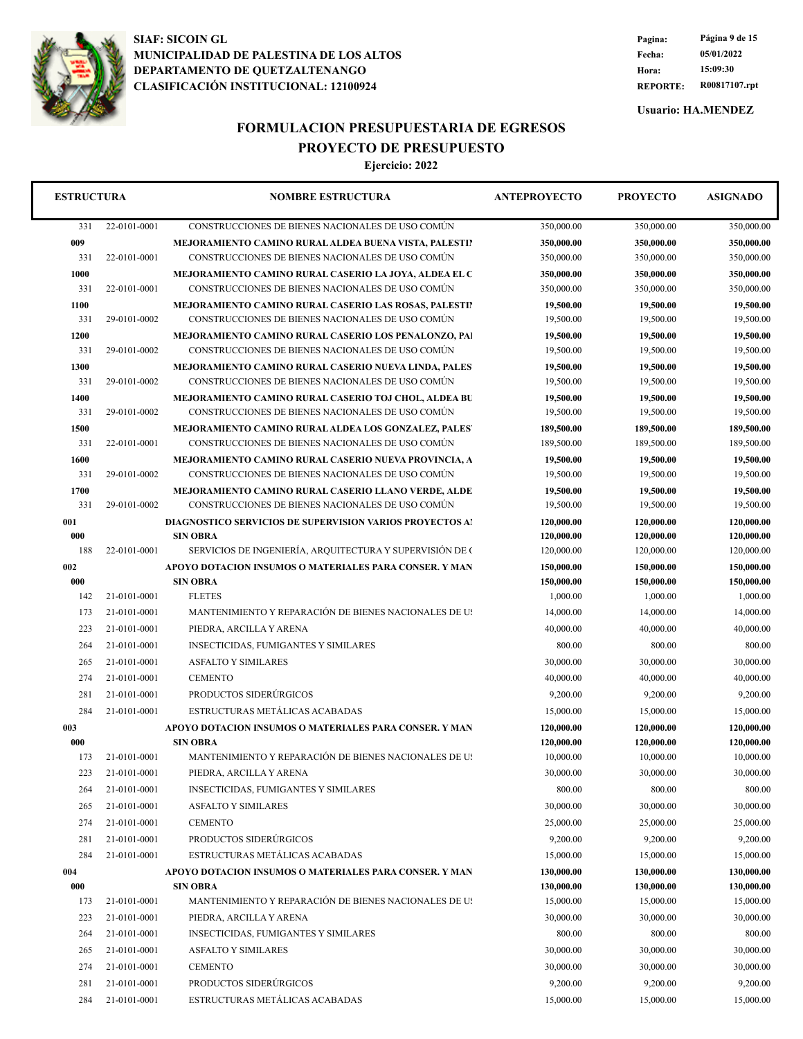

**REPORTE: R00817107.rpt Hora: 15:09:30 Fecha: 05/01/2022 Pagina: Página 9 de 15**

**Usuario: HA.MENDEZ**

# **FORMULACION PRESUPUESTARIA DE EGRESOS PROYECTO DE PRESUPUESTO**

| <b>ESTRUCTURA</b> |              | <b>NOMBRE ESTRUCTURA</b>                                                 | <b>ANTEPROYECTO</b> | <b>PROYECTO</b> | <b>ASIGNADO</b> |
|-------------------|--------------|--------------------------------------------------------------------------|---------------------|-----------------|-----------------|
| 331               | 22-0101-0001 | CONSTRUCCIONES DE BIENES NACIONALES DE USO COMÚN                         | 350,000.00          | 350,000.00      | 350,000.00      |
| 009               |              | MEJORAMIENTO CAMINO RURAL ALDEA BUENA VISTA, PALESTIN                    | 350,000.00          | 350,000.00      | 350,000.00      |
| 331               | 22-0101-0001 | CONSTRUCCIONES DE BIENES NACIONALES DE USO COMÚN                         | 350,000.00          | 350,000.00      | 350,000.00      |
| 1000              |              | MEJORAMIENTO CAMINO RURAL CASERIO LA JOYA, ALDEA EL C                    | 350,000.00          | 350,000.00      | 350,000.00      |
| 331               | 22-0101-0001 | CONSTRUCCIONES DE BIENES NACIONALES DE USO COMUN                         | 350,000.00          | 350,000.00      | 350,000.00      |
| 1100              |              | <b>MEJORAMIENTO CAMINO RURAL CASERIO LAS ROSAS, PALESTII</b>             | 19,500.00           | 19,500.00       | 19,500.00       |
| 331               | 29-0101-0002 | CONSTRUCCIONES DE BIENES NACIONALES DE USO COMÚN                         | 19,500.00           | 19,500.00       | 19,500.00       |
| 1200              |              | MEJORAMIENTO CAMINO RURAL CASERIO LOS PENALONZO, PAI                     | 19,500.00           | 19,500.00       | 19,500.00       |
| 331               | 29-0101-0002 | CONSTRUCCIONES DE BIENES NACIONALES DE USO COMÚN                         | 19,500.00           | 19,500.00       | 19,500.00       |
| 1300              |              | <b>MEJORAMIENTO CAMINO RURAL CASERIO NUEVA LINDA, PALES</b>              | 19,500.00           | 19,500.00       | 19,500.00       |
| 331               | 29-0101-0002 | CONSTRUCCIONES DE BIENES NACIONALES DE USO COMÚN                         | 19,500.00           | 19,500.00       | 19,500.00       |
| 1400              |              | <b>MEJORAMIENTO CAMINO RURAL CASERIO TOJ CHOL, ALDEA BU</b>              | 19,500.00           | 19,500.00       | 19,500.00       |
| 331               | 29-0101-0002 | CONSTRUCCIONES DE BIENES NACIONALES DE USO COMÚN                         | 19,500.00           | 19,500.00       | 19,500.00       |
| 1500              |              | <b>MEJORAMIENTO CAMINO RURAL ALDEA LOS GONZALEZ, PALES'</b>              | 189,500.00          | 189,500.00      | 189,500.00      |
| 331               | 22-0101-0001 | CONSTRUCCIONES DE BIENES NACIONALES DE USO COMÚN                         | 189,500.00          | 189,500.00      | 189,500.00      |
| 1600              |              | MEJORAMIENTO CAMINO RURAL CASERIO NUEVA PROVINCIA, A                     | 19,500.00           | 19,500.00       | 19,500.00       |
| 331               | 29-0101-0002 | CONSTRUCCIONES DE BIENES NACIONALES DE USO COMÚN                         | 19,500.00           | 19,500.00       | 19,500.00       |
| 1700              |              | <b>MEJORAMIENTO CAMINO RURAL CASERIO LLANO VERDE, ALDE</b>               | 19,500.00           | 19,500.00       | 19,500.00       |
| 331               | 29-0101-0002 | CONSTRUCCIONES DE BIENES NACIONALES DE USO COMÚN                         | 19,500.00           | 19,500.00       | 19,500.00       |
| 001               |              | <b>DIAGNOSTICO SERVICIOS DE SUPERVISION VARIOS PROYECTOS AI</b>          | 120,000.00          | 120,000.00      | 120,000.00      |
| 000               |              | <b>SIN OBRA</b>                                                          | 120,000.00          | 120,000.00      | 120,000.00      |
| 188               | 22-0101-0001 | SERVICIOS DE INGENIERÍA, ARQUITECTURA Y SUPERVISIÓN DE O                 | 120,000.00          | 120,000.00      | 120,000.00      |
| 002               |              | APOYO DOTACION INSUMOS O MATERIALES PARA CONSER. Y MAN                   | 150,000.00          | 150,000.00      | 150,000.00      |
| 000               |              | <b>SIN OBRA</b>                                                          | 150,000.00          | 150,000.00      | 150,000.00      |
| 142               | 21-0101-0001 | <b>FLETES</b>                                                            | 1,000.00            | 1,000.00        | 1,000.00        |
| 173               | 21-0101-0001 | MANTENIMIENTO Y REPARACIÓN DE BIENES NACIONALES DE US                    | 14,000.00           | 14,000.00       | 14,000.00       |
| 223               | 21-0101-0001 | PIEDRA, ARCILLA Y ARENA                                                  | 40,000.00           | 40,000.00       | 40,000.00       |
| 264               | 21-0101-0001 | <b>INSECTICIDAS, FUMIGANTES Y SIMILARES</b>                              | 800.00              | 800.00          | 800.00          |
| 265               | 21-0101-0001 | <b>ASFALTO Y SIMILARES</b>                                               | 30,000.00           | 30,000.00       | 30,000.00       |
| 274               | 21-0101-0001 | <b>CEMENTO</b>                                                           | 40,000.00           | 40,000.00       | 40,000.00       |
| 281               | 21-0101-0001 | PRODUCTOS SIDERÚRGICOS                                                   | 9,200.00            | 9,200.00        | 9,200.00        |
|                   |              |                                                                          |                     |                 |                 |
| 284               | 21-0101-0001 | ESTRUCTURAS METÁLICAS ACABADAS                                           | 15,000.00           | 15,000.00       | 15,000.00       |
| 003               |              | APOYO DOTACION INSUMOS O MATERIALES PARA CONSER. Y MAN                   | 120,000.00          | 120,000.00      | 120,000.00      |
| 000               |              | <b>SIN OBRA</b><br>MANTENIMIENTO Y REPARACIÓN DE BIENES NACIONALES DE US | 120,000.00          | 120,000.00      | 120,000.00      |
| 173               | 21-0101-0001 |                                                                          | 10,000.00           | 10,000.00       | 10,000.00       |
| 223               | 21-0101-0001 | PIEDRA, ARCILLA Y ARENA                                                  | 30,000.00           | 30,000.00       | 30,000.00       |
| 264               | 21-0101-0001 | <b>INSECTICIDAS, FUMIGANTES Y SIMILARES</b>                              | 800.00              | 800.00          | 800.00          |
| 265               | 21-0101-0001 | <b>ASFALTO Y SIMILARES</b>                                               | 30,000.00           | 30,000.00       | 30,000.00       |
| 274               | 21-0101-0001 | <b>CEMENTO</b>                                                           | 25,000.00           | 25,000.00       | 25,000.00       |
| 281               | 21-0101-0001 | PRODUCTOS SIDERÚRGICOS                                                   | 9,200.00            | 9,200.00        | 9,200.00        |
| 284               | 21-0101-0001 | ESTRUCTURAS METÁLICAS ACABADAS                                           | 15,000.00           | 15,000.00       | 15,000.00       |
| 004               |              | APOYO DOTACION INSUMOS O MATERIALES PARA CONSER. Y MAN                   | 130,000.00          | 130,000.00      | 130,000.00      |
| 000               |              | SIN OBRA                                                                 | 130,000.00          | 130,000.00      | 130,000.00      |
| 173               | 21-0101-0001 | MANTENIMIENTO Y REPARACIÓN DE BIENES NACIONALES DE US                    | 15,000.00           | 15,000.00       | 15,000.00       |
| 223               | 21-0101-0001 | PIEDRA, ARCILLA Y ARENA                                                  | 30,000.00           | 30,000.00       | 30,000.00       |
| 264               | 21-0101-0001 | <b>INSECTICIDAS, FUMIGANTES Y SIMILARES</b>                              | 800.00              | 800.00          | 800.00          |
| 265               | 21-0101-0001 | <b>ASFALTO Y SIMILARES</b>                                               | 30,000.00           | 30,000.00       | 30,000.00       |
| 274               | 21-0101-0001 | <b>CEMENTO</b>                                                           | 30,000.00           | 30,000.00       | 30,000.00       |
| 281               | 21-0101-0001 | PRODUCTOS SIDERÚRGICOS                                                   | 9,200.00            | 9,200.00        | 9,200.00        |
|                   |              |                                                                          |                     |                 |                 |
| 284               | 21-0101-0001 | ESTRUCTURAS METÁLICAS ACABADAS                                           | 15,000.00           | 15,000.00       | 15,000.00       |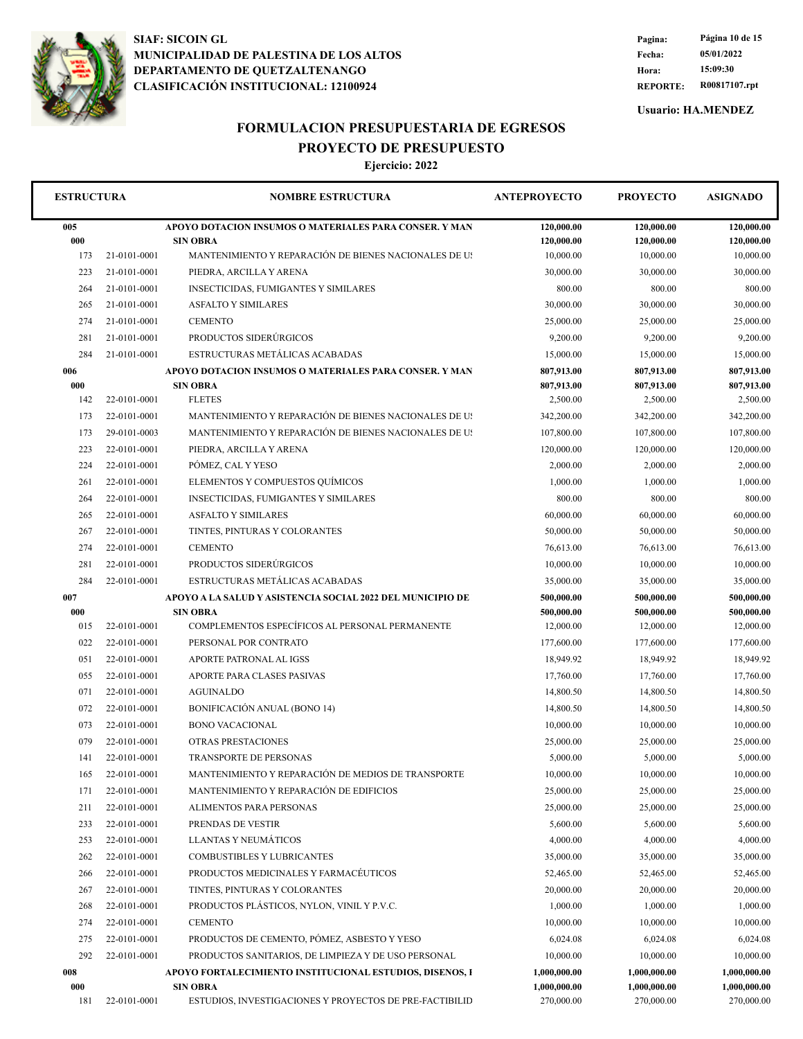

**REPORTE: R00817107.rpt Hora: 15:09:30 Fecha: 05/01/2022 Pagina: Página 10 de 15**

**Usuario: HA.MENDEZ**

## **FORMULACION PRESUPUESTARIA DE EGRESOS PROYECTO DE PRESUPUESTO**

| <b>ESTRUCTURA</b> |              | <b>NOMBRE ESTRUCTURA</b>                                   | <b>ANTEPROYECTO</b> | <b>PROYECTO</b> | <b>ASIGNADO</b> |
|-------------------|--------------|------------------------------------------------------------|---------------------|-----------------|-----------------|
| 005               |              | APOYO DOTACION INSUMOS O MATERIALES PARA CONSER. Y MAN     | 120,000.00          | 120,000.00      | 120,000.00      |
| 000               |              | <b>SIN OBRA</b>                                            | 120,000.00          | 120,000.00      | 120,000.00      |
| 173               | 21-0101-0001 | MANTENIMIENTO Y REPARACIÓN DE BIENES NACIONALES DE US      | 10,000.00           | 10,000.00       | 10,000.00       |
| 223               | 21-0101-0001 | PIEDRA, ARCILLA Y ARENA                                    | 30,000.00           | 30,000.00       | 30,000.00       |
| 264               | 21-0101-0001 | <b>INSECTICIDAS, FUMIGANTES Y SIMILARES</b>                | 800.00              | 800.00          | 800.00          |
| 265               | 21-0101-0001 | <b>ASFALTO Y SIMILARES</b>                                 | 30,000.00           | 30,000.00       | 30,000.00       |
| 274               | 21-0101-0001 | <b>CEMENTO</b>                                             | 25,000.00           | 25,000.00       | 25,000.00       |
| 281               | 21-0101-0001 | PRODUCTOS SIDERÚRGICOS                                     | 9,200.00            | 9,200.00        | 9,200.00        |
| 284               | 21-0101-0001 | ESTRUCTURAS METÁLICAS ACABADAS                             | 15,000.00           | 15,000.00       | 15,000.00       |
| 006               |              | APOYO DOTACION INSUMOS O MATERIALES PARA CONSER. Y MAN     | 807,913.00          | 807,913.00      | 807,913.00      |
| 000               |              | <b>SIN OBRA</b>                                            | 807,913.00          | 807,913.00      | 807,913.00      |
| 142               | 22-0101-0001 | <b>FLETES</b>                                              | 2,500.00            | 2,500.00        | 2,500.00        |
| 173               | 22-0101-0001 | MANTENIMIENTO Y REPARACIÓN DE BIENES NACIONALES DE US      | 342,200.00          | 342,200.00      | 342,200.00      |
| 173               | 29-0101-0003 | MANTENIMIENTO Y REPARACIÓN DE BIENES NACIONALES DE US      | 107,800.00          | 107,800.00      | 107,800.00      |
| 223               | 22-0101-0001 | PIEDRA, ARCILLA Y ARENA                                    | 120,000.00          | 120,000.00      | 120,000.00      |
| 224               | 22-0101-0001 | PÓMEZ, CAL Y YESO                                          | 2,000.00            | 2,000.00        | 2,000.00        |
| 261               | 22-0101-0001 | ELEMENTOS Y COMPUESTOS QUÍMICOS                            | 1,000.00            | 1,000.00        | 1,000.00        |
| 264               | 22-0101-0001 | <b>INSECTICIDAS, FUMIGANTES Y SIMILARES</b>                | 800.00              | 800.00          | 800.00          |
| 265               | 22-0101-0001 | <b>ASFALTO Y SIMILARES</b>                                 | 60,000.00           | 60,000.00       | 60,000.00       |
| 267               | 22-0101-0001 | TINTES, PINTURAS Y COLORANTES                              | 50,000.00           | 50,000.00       | 50,000.00       |
| 274               | 22-0101-0001 | <b>CEMENTO</b>                                             | 76,613.00           | 76,613.00       | 76,613.00       |
| 281               | 22-0101-0001 | PRODUCTOS SIDERÚRGICOS                                     | 10,000.00           | 10,000.00       | 10,000.00       |
| 284               | 22-0101-0001 | ESTRUCTURAS METÁLICAS ACABADAS                             | 35,000.00           | 35,000.00       | 35,000.00       |
| 007               |              | APOYO A LA SALUD Y ASISTENCIA SOCIAL 2022 DEL MUNICIPIO DE | 500,000.00          | 500,000.00      | 500,000.00      |
| 000               |              | <b>SIN OBRA</b>                                            | 500,000.00          | 500,000.00      | 500,000.00      |
| 015               | 22-0101-0001 | COMPLEMENTOS ESPECÍFICOS AL PERSONAL PERMANENTE            | 12,000.00           | 12,000.00       | 12,000.00       |
| 022               | 22-0101-0001 | PERSONAL POR CONTRATO                                      | 177,600.00          | 177,600.00      | 177,600.00      |
| 051               | 22-0101-0001 | APORTE PATRONAL AL IGSS                                    | 18,949.92           | 18,949.92       | 18,949.92       |
| 055               | 22-0101-0001 | APORTE PARA CLASES PASIVAS                                 | 17,760.00           | 17,760.00       | 17,760.00       |
| 071               | 22-0101-0001 | <b>AGUINALDO</b>                                           | 14,800.50           | 14,800.50       | 14,800.50       |
| 072               | 22-0101-0001 | <b>BONIFICACIÓN ANUAL (BONO 14)</b>                        | 14,800.50           | 14,800.50       | 14,800.50       |
| 073               | 22-0101-0001 | <b>BONO VACACIONAL</b>                                     | 10,000.00           | 10,000.00       | 10,000.00       |
| 079               | 22-0101-0001 | OTRAS PRESTACIONES                                         | 25,000.00           | 25,000.00       | 25,000.00       |
| 141               | 22-0101-0001 | TRANSPORTE DE PERSONAS                                     | 5,000.00            | 5,000.00        | 5,000.00        |
| 165               | 22-0101-0001 | MANTENIMIENTO Y REPARACIÓN DE MEDIOS DE TRANSPORTE         | 10,000.00           | 10,000.00       | 10,000.00       |
| 171               | 22-0101-0001 | MANTENIMIENTO Y REPARACIÓN DE EDIFICIOS                    | 25,000.00           | 25,000.00       | 25,000.00       |
| 211               | 22-0101-0001 | ALIMENTOS PARA PERSONAS                                    | 25,000.00           | 25,000.00       | 25,000.00       |
| 233               | 22-0101-0001 | PRENDAS DE VESTIR                                          | 5,600.00            | 5,600.00        | 5,600.00        |
| 253               | 22-0101-0001 | LLANTAS Y NEUMATICOS                                       | 4,000.00            | 4,000.00        | 4,000.00        |
| 262               | 22-0101-0001 | COMBUSTIBLES Y LUBRICANTES                                 | 35,000.00           | 35,000.00       | 35,000.00       |
| 266               | 22-0101-0001 | PRODUCTOS MEDICINALES Y FARMACÉUTICOS                      | 52,465.00           | 52,465.00       | 52,465.00       |
| 267               | 22-0101-0001 | TINTES, PINTURAS Y COLORANTES                              | 20,000.00           | 20,000.00       | 20,000.00       |
|                   |              | PRODUCTOS PLÁSTICOS, NYLON, VINIL Y P.V.C.                 |                     |                 |                 |
| 268               | 22-0101-0001 |                                                            | 1,000.00            | 1,000.00        | 1,000.00        |
| 274               | 22-0101-0001 | <b>CEMENTO</b>                                             | 10,000.00           | 10,000.00       | 10,000.00       |
| 275               | 22-0101-0001 | PRODUCTOS DE CEMENTO, PÓMEZ, ASBESTO Y YESO                | 6,024.08            | 6,024.08        | 6,024.08        |
| 292               | 22-0101-0001 | PRODUCTOS SANITARIOS, DE LIMPIEZA Y DE USO PERSONAL        | 10,000.00           | 10,000.00       | 10,000.00       |
| 008               |              | APOYO FORTALECIMIENTO INSTITUCIONAL ESTUDIOS, DISENOS, I   | 1,000,000.00        | 1,000,000.00    | 1,000,000.00    |
| 000               |              | <b>SIN OBRA</b>                                            | 1,000,000.00        | 1,000,000.00    | 1,000,000.00    |
| 181               | 22-0101-0001 | ESTUDIOS, INVESTIGACIONES Y PROYECTOS DE PRE-FACTIBILID    | 270,000.00          | 270,000.00      | 270,000.00      |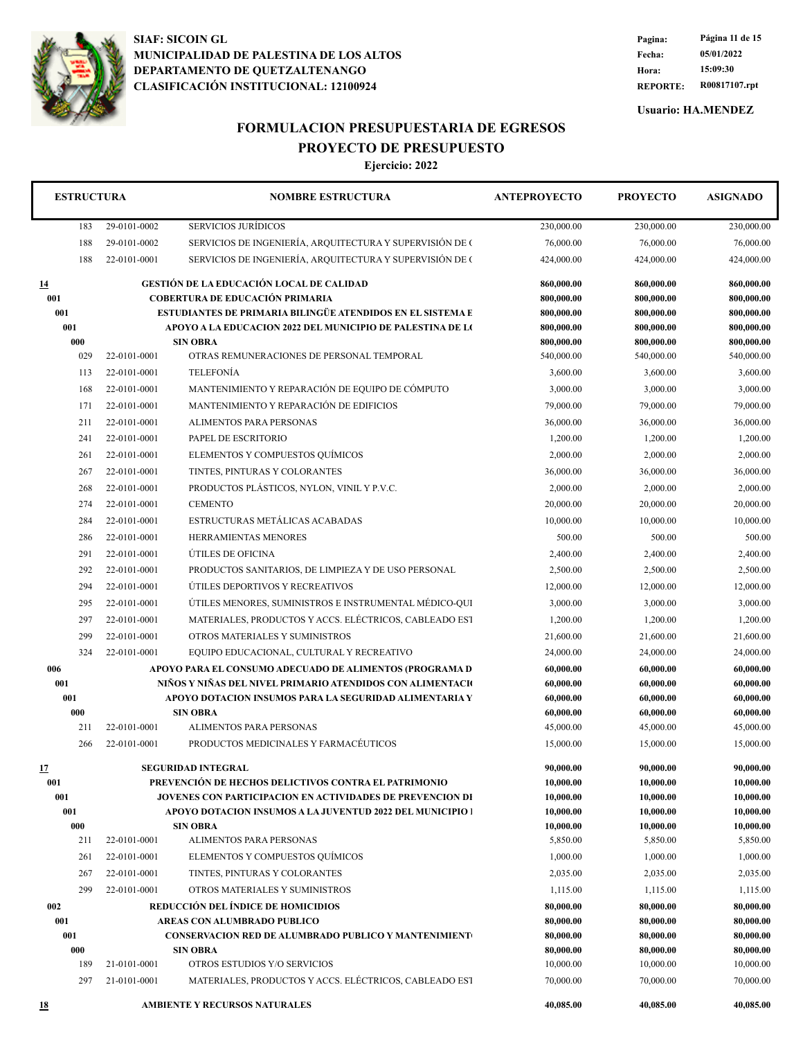

**REPORTE: R00817107.rpt Hora: 15:09:30 Fecha: 05/01/2022 Pagina: Página 11 de 15**

**Usuario: HA.MENDEZ**

# **FORMULACION PRESUPUESTARIA DE EGRESOS PROYECTO DE PRESUPUESTO**

| <b>ESTRUCTURA</b> |              | <b>NOMBRE ESTRUCTURA</b>                                                       | <b>ANTEPROYECTO</b>    | <b>PROYECTO</b>        | <b>ASIGNADO</b>        |
|-------------------|--------------|--------------------------------------------------------------------------------|------------------------|------------------------|------------------------|
| 183               | 29-0101-0002 | <b>SERVICIOS JURÍDICOS</b>                                                     | 230,000.00             | 230,000.00             | 230,000.00             |
| 188               | 29-0101-0002 | SERVICIOS DE INGENIERÍA, ARQUITECTURA Y SUPERVISIÓN DE O                       | 76,000.00              | 76,000.00              | 76,000.00              |
| 188               | 22-0101-0001 | SERVICIOS DE INGENIERÍA, ARQUITECTURA Y SUPERVISIÓN DE O                       | 424,000.00             | 424,000.00             | 424,000.00             |
| <u>14</u>         |              | <b>GESTIÓN DE LA EDUCACIÓN LOCAL DE CALIDAD</b>                                | 860,000.00             | 860,000.00             | 860,000.00             |
| 001               |              | <b>COBERTURA DE EDUCACIÓN PRIMARIA</b>                                         | 800,000.00             | 800,000.00             | 800,000.00             |
| 001               |              | ESTUDIANTES DE PRIMARIA BILINGÜE ATENDIDOS EN EL SISTEMA E                     | 800,000.00             | 800,000.00             | 800,000.00             |
| 001               |              | APOYO A LA EDUCACION 2022 DEL MUNICIPIO DE PALESTINA DE LO                     | 800,000.00             | 800,000.00             | 800,000.00             |
| 000               |              | <b>SIN OBRA</b>                                                                | 800,000.00             | 800,000.00             | 800,000.00             |
| 029               | 22-0101-0001 | OTRAS REMUNERACIONES DE PERSONAL TEMPORAL                                      | 540,000.00             | 540,000.00             | 540,000.00             |
| 113               | 22-0101-0001 | <b>TELEFONÍA</b>                                                               | 3,600.00               | 3,600.00               | 3,600.00               |
| 168               | 22-0101-0001 | MANTENIMIENTO Y REPARACIÓN DE EQUIPO DE CÓMPUTO                                | 3,000.00               | 3,000.00               | 3,000.00               |
| 171               | 22-0101-0001 | MANTENIMIENTO Y REPARACIÓN DE EDIFICIOS                                        | 79,000.00              | 79,000.00              | 79,000.00              |
| 211               | 22-0101-0001 | ALIMENTOS PARA PERSONAS                                                        | 36,000.00              | 36,000.00              | 36,000.00              |
| 241               | 22-0101-0001 | PAPEL DE ESCRITORIO                                                            | 1,200.00               | 1,200.00               | 1,200.00               |
| 261               | 22-0101-0001 | ELEMENTOS Y COMPUESTOS QUÍMICOS                                                | 2,000.00               | 2,000.00               | 2,000.00               |
| 267               | 22-0101-0001 | TINTES, PINTURAS Y COLORANTES                                                  | 36,000.00              | 36,000.00              | 36,000.00              |
| 268               | 22-0101-0001 | PRODUCTOS PLÁSTICOS, NYLON, VINIL Y P.V.C.                                     | 2,000.00               | 2,000.00               | 2,000.00               |
| 274               | 22-0101-0001 | <b>CEMENTO</b>                                                                 | 20,000.00              | 20,000.00              | 20,000.00              |
| 284               | 22-0101-0001 | ESTRUCTURAS METÁLICAS ACABADAS                                                 | 10,000.00              | 10,000.00              | 10,000.00              |
| 286               | 22-0101-0001 | HERRAMIENTAS MENORES                                                           | 500.00                 | 500.00                 | 500.00                 |
| 291               | 22-0101-0001 | ÚTILES DE OFICINA                                                              | 2,400.00               | 2,400.00               | 2,400.00               |
| 292               | 22-0101-0001 | PRODUCTOS SANITARIOS, DE LIMPIEZA Y DE USO PERSONAL                            | 2,500.00               | 2,500.00               | 2,500.00               |
| 294               | 22-0101-0001 | ÚTILES DEPORTIVOS Y RECREATIVOS                                                | 12,000.00              | 12,000.00              | 12,000.00              |
| 295               | 22-0101-0001 | ÚTILES MENORES, SUMINISTROS E INSTRUMENTAL MÉDICO-QUI                          | 3,000.00               | 3,000.00               | 3,000.00               |
| 297               | 22-0101-0001 | MATERIALES, PRODUCTOS Y ACCS. ELÉCTRICOS, CABLEADO EST                         | 1,200.00               | 1,200.00               | 1,200.00               |
| 299               | 22-0101-0001 | OTROS MATERIALES Y SUMINISTROS                                                 | 21,600.00              | 21,600.00              | 21,600.00              |
| 324               | 22-0101-0001 | EQUIPO EDUCACIONAL, CULTURAL Y RECREATIVO                                      | 24,000.00              | 24,000.00              | 24,000.00              |
| 006               |              | APOYO PARA EL CONSUMO ADECUADO DE ALIMENTOS (PROGRAMA D                        | 60,000.00              | 60,000.00              | 60,000.00              |
| 001               |              | NIÑOS Y NIÑAS DEL NIVEL PRIMARIO ATENDIDOS CON ALIMENTACIO                     | 60,000.00              | 60,000.00              | 60,000.00              |
| 001               |              | APOYO DOTACION INSUMOS PARA LA SEGURIDAD ALIMENTARIA Y                         | 60,000.00              | 60,000.00              | 60,000.00              |
| 000               |              | <b>SIN OBRA</b>                                                                | 60,000.00              | 60,000.00              | 60,000.00              |
| 211               | 22-0101-0001 | ALIMENTOS PARA PERSONAS                                                        | 45,000.00              | 45,000.00              | 45,000.00              |
| 266               | 22-0101-0001 | PRODUCTOS MEDICINALES Y FARMACÉUTICOS                                          | 15,000.00              | 15,000.00              | 15,000.00              |
| 17                |              | <b>SEGURIDAD INTEGRAL</b>                                                      | 90,000.00              | 90,000.00              | 90,000.00              |
| 001               |              | PREVENCIÓN DE HECHOS DELICTIVOS CONTRA EL PATRIMONIO                           | 10,000.00              | 10,000.00              | 10,000.00              |
| 001               |              | JOVENES CON PARTICIPACION EN ACTIVIDADES DE PREVENCION DI                      | 10,000.00              | 10,000.00              | 10,000.00              |
| 001               |              | <b>APOYO DOTACION INSUMOS A LA JUVENTUD 2022 DEL MUNICIPIO 1</b>               | 10,000.00              | 10,000.00              | 10,000.00              |
| 000               |              | <b>SIN OBRA</b>                                                                | 10,000.00              | 10,000.00              | 10,000.00              |
| 211               | 22-0101-0001 | ALIMENTOS PARA PERSONAS                                                        | 5,850.00               | 5,850.00               | 5,850.00               |
| 261               | 22-0101-0001 | ELEMENTOS Y COMPUESTOS QUÍMICOS                                                | 1,000.00               | 1,000.00               | 1,000.00               |
| 267               | 22-0101-0001 | TINTES, PINTURAS Y COLORANTES                                                  | 2,035.00               | 2,035.00               | 2,035.00               |
| 299               | 22-0101-0001 | OTROS MATERIALES Y SUMINISTROS                                                 | 1,115.00               | 1,115.00               | 1,115.00               |
| 002               |              | REDUCCIÓN DEL ÍNDICE DE HOMICIDIOS                                             | 80,000.00              | 80,000.00              | 80,000.00              |
| 001               |              | AREAS CON ALUMBRADO PUBLICO                                                    | 80,000.00              | 80,000.00              | 80,000.00              |
| 001<br>000        |              | <b>CONSERVACION RED DE ALUMBRADO PUBLICO Y MANTENIMIENT</b><br><b>SIN OBRA</b> | 80,000.00<br>80,000.00 | 80,000.00<br>80,000.00 | 80,000.00<br>80,000.00 |
| 189               | 21-0101-0001 | OTROS ESTUDIOS Y/O SERVICIOS                                                   | 10,000.00              | 10,000.00              | 10,000.00              |
| 297               | 21-0101-0001 | MATERIALES, PRODUCTOS Y ACCS. ELÉCTRICOS, CABLEADO EST                         | 70,000.00              | 70,000.00              | 70,000.00              |
|                   |              | <b>AMBIENTE Y RECURSOS NATURALES</b>                                           | 40,085.00              | 40,085.00              | 40,085.00              |
| <u>18</u>         |              |                                                                                |                        |                        |                        |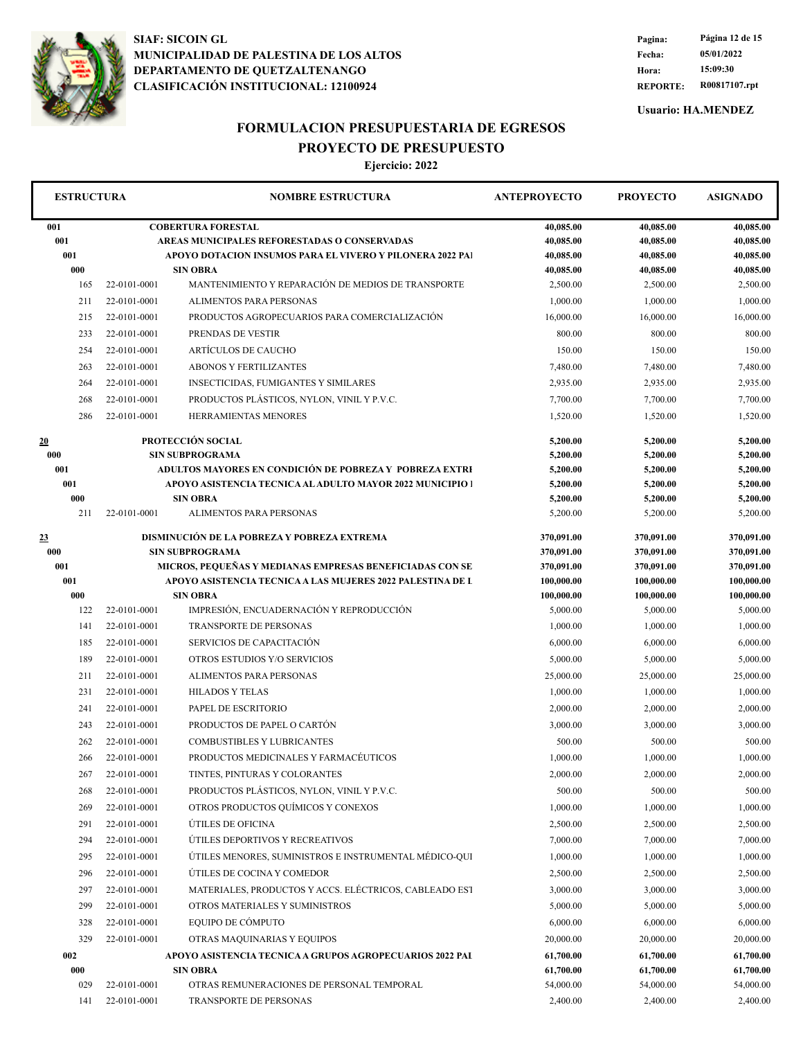

**REPORTE: R00817107.rpt Hora: 15:09:30 Fecha: 05/01/2022 Pagina: Página 12 de 15**

**Usuario: HA.MENDEZ**

#### **FORMULACION PRESUPUESTARIA DE EGRESOS**

**PROYECTO DE PRESUPUESTO**

| <b>ESTRUCTURA</b> |              | <b>NOMBRE ESTRUCTURA</b>                                    | <b>ANTEPROYECTO</b>    | <b>PROYECTO</b>        | <b>ASIGNADO</b>        |
|-------------------|--------------|-------------------------------------------------------------|------------------------|------------------------|------------------------|
| 001               |              | <b>COBERTURA FORESTAL</b>                                   | 40,085.00              | 40,085.00              | 40,085.00              |
| 001               |              | AREAS MUNICIPALES REFORESTADAS O CONSERVADAS                | 40,085.00              | 40,085.00              | 40,085.00              |
| 001               |              | APOYO DOTACION INSUMOS PARA EL VIVERO Y PILONERA 2022 PAI   | 40,085.00              | 40,085.00              | 40,085.00              |
| 000               |              | <b>SIN OBRA</b>                                             | 40,085.00              | 40,085.00              | 40,085.00              |
| 165               | 22-0101-0001 | MANTENIMIENTO Y REPARACIÓN DE MEDIOS DE TRANSPORTE          | 2,500.00               | 2,500.00               | 2,500.00               |
| 211               | 22-0101-0001 | ALIMENTOS PARA PERSONAS                                     | 1,000.00               | 1,000.00               | 1,000.00               |
| 215               | 22-0101-0001 | PRODUCTOS AGROPECUARIOS PARA COMERCIALIZACIÓN               | 16,000.00              | 16,000.00              | 16,000.00              |
| 233               | 22-0101-0001 | PRENDAS DE VESTIR                                           | 800.00                 | 800.00                 | 800.00                 |
| 254               | 22-0101-0001 | ARTÍCULOS DE CAUCHO                                         | 150.00                 | 150.00                 | 150.00                 |
| 263               | 22-0101-0001 | <b>ABONOS Y FERTILIZANTES</b>                               | 7,480.00               | 7,480.00               | 7,480.00               |
| 264               | 22-0101-0001 | INSECTICIDAS, FUMIGANTES Y SIMILARES                        | 2,935.00               | 2,935.00               | 2,935.00               |
| 268               | 22-0101-0001 | PRODUCTOS PLÁSTICOS, NYLON, VINIL Y P.V.C.                  | 7,700.00               | 7,700.00               | 7,700.00               |
| 286               | 22-0101-0001 | HERRAMIENTAS MENORES                                        | 1,520.00               | 1,520.00               | 1,520.00               |
| 20                |              | <b>PROTECCIÓN SOCIAL</b>                                    | 5,200.00               | 5,200.00               | 5,200.00               |
| 000               |              | <b>SIN SUBPROGRAMA</b>                                      | 5,200.00               | 5,200.00               | 5,200.00               |
| 001               |              | ADULTOS MAYORES EN CONDICIÓN DE POBREZA Y POBREZA EXTRI     | 5,200.00               | 5,200.00               | 5,200.00               |
| 001               |              | APOYO ASISTENCIA TECNICA AL ADULTO MAYOR 2022 MUNICIPIO 1   | 5,200.00               | 5,200.00               | 5,200.00               |
| 000<br>211        | 22-0101-0001 | <b>SIN OBRA</b><br><b>ALIMENTOS PARA PERSONAS</b>           | 5,200.00<br>5,200.00   | 5,200.00<br>5,200.00   | 5,200.00<br>5,200.00   |
|                   |              |                                                             |                        |                        |                        |
| 23                |              | DISMINUCIÓN DE LA POBREZA Y POBREZA EXTREMA                 | 370,091.00             | 370,091.00             | 370,091.00             |
| 000               |              | <b>SIN SUBPROGRAMA</b>                                      | 370,091.00             | 370,091.00             | 370,091.00             |
| 001               |              | MICROS, PEQUEÑAS Y MEDIANAS EMPRESAS BENEFICIADAS CON SE    | 370,091.00             | 370,091.00             | 370,091.00             |
| 001               |              | APOYO ASISTENCIA TECNICA A LAS MUJERES 2022 PALESTINA DE L  | 100,000.00             | 100,000.00             | 100,000.00             |
| 000<br>122        | 22-0101-0001 | <b>SIN OBRA</b><br>IMPRESIÓN, ENCUADERNACIÓN Y REPRODUCCIÓN | 100,000.00<br>5,000.00 | 100,000.00<br>5,000.00 | 100,000.00<br>5,000.00 |
| 141               | 22-0101-0001 | <b>TRANSPORTE DE PERSONAS</b>                               | 1,000.00               | 1,000.00               | 1,000.00               |
| 185               | 22-0101-0001 | SERVICIOS DE CAPACITACIÓN                                   | 6,000.00               | 6,000.00               | 6,000.00               |
| 189               | 22-0101-0001 | OTROS ESTUDIOS Y/O SERVICIOS                                | 5,000.00               | 5,000.00               | 5,000.00               |
| 211               | 22-0101-0001 | ALIMENTOS PARA PERSONAS                                     | 25,000.00              | 25,000.00              | 25,000.00              |
| 231               | 22-0101-0001 | <b>HILADOS Y TELAS</b>                                      | 1,000.00               | 1,000.00               | 1,000.00               |
|                   |              |                                                             |                        |                        |                        |
| 241               | 22-0101-0001 | PAPEL DE ESCRITORIO<br>PRODUCTOS DE PAPEL O CARTÓN          | 2,000.00               | 2,000.00               | 2,000.00               |
| 243               | 22-0101-0001 |                                                             | 3,000.00               | 3,000.00               | 3,000.00               |
| 262               | 22-0101-0001 | <b>COMBUSTIBLES Y LUBRICANTES</b>                           | 500.00                 | 500.00                 | 500.00                 |
| 266               | 22-0101-0001 | PRODUCTOS MEDICINALES Y FARMACÉUTICOS                       | 1,000.00               | 1,000.00               | 1,000.00               |
| 267               | 22-0101-0001 | TINTES, PINTURAS Y COLORANTES                               | 2,000.00               | 2,000.00               | 2,000.00               |
| 268               | 22-0101-0001 | PRODUCTOS PLÁSTICOS, NYLON, VINIL Y P.V.C.                  | 500.00                 | 500.00                 | 500.00                 |
| 269               | 22-0101-0001 | OTROS PRODUCTOS QUÍMICOS Y CONEXOS                          | 1,000.00               | 1,000.00               | 1,000.00               |
| 291               | 22-0101-0001 | ÚTILES DE OFICINA                                           | 2,500.00               | 2,500.00               | 2,500.00               |
| 294               | 22-0101-0001 | ÚTILES DEPORTIVOS Y RECREATIVOS                             | 7,000.00               | 7,000.00               | 7,000.00               |
| 295               | 22-0101-0001 | ÚTILES MENORES, SUMINISTROS E INSTRUMENTAL MÉDICO-QUI       | 1,000.00               | 1,000.00               | 1,000.00               |
| 296               | 22-0101-0001 | ÚTILES DE COCINA Y COMEDOR                                  | 2,500.00               | 2,500.00               | 2,500.00               |
| 297               | 22-0101-0001 | MATERIALES, PRODUCTOS Y ACCS. ELÉCTRICOS, CABLEADO EST      | 3,000.00               | 3,000.00               | 3,000.00               |
| 299               | 22-0101-0001 | OTROS MATERIALES Y SUMINISTROS                              | 5,000.00               | 5,000.00               | 5,000.00               |
| 328               | 22-0101-0001 | EOUIPO DE CÓMPUTO                                           | 6,000.00               | 6,000.00               | 6,000.00               |
| 329               | 22-0101-0001 | OTRAS MAQUINARIAS Y EQUIPOS                                 | 20,000.00              | 20,000.00              | 20,000.00              |
| 002               |              | APOYO ASISTENCIA TECNICA A GRUPOS AGROPECUARIOS 2022 PAI    | 61,700.00              | 61,700.00              | 61,700.00              |
| 000               |              | <b>SIN OBRA</b>                                             | 61,700.00              | 61,700.00              | 61,700.00              |
| 029               | 22-0101-0001 | OTRAS REMUNERACIONES DE PERSONAL TEMPORAL                   | 54,000.00              | 54,000.00              | 54,000.00              |
| 141               | 22-0101-0001 | TRANSPORTE DE PERSONAS                                      | 2,400.00               | 2,400.00               | 2,400.00               |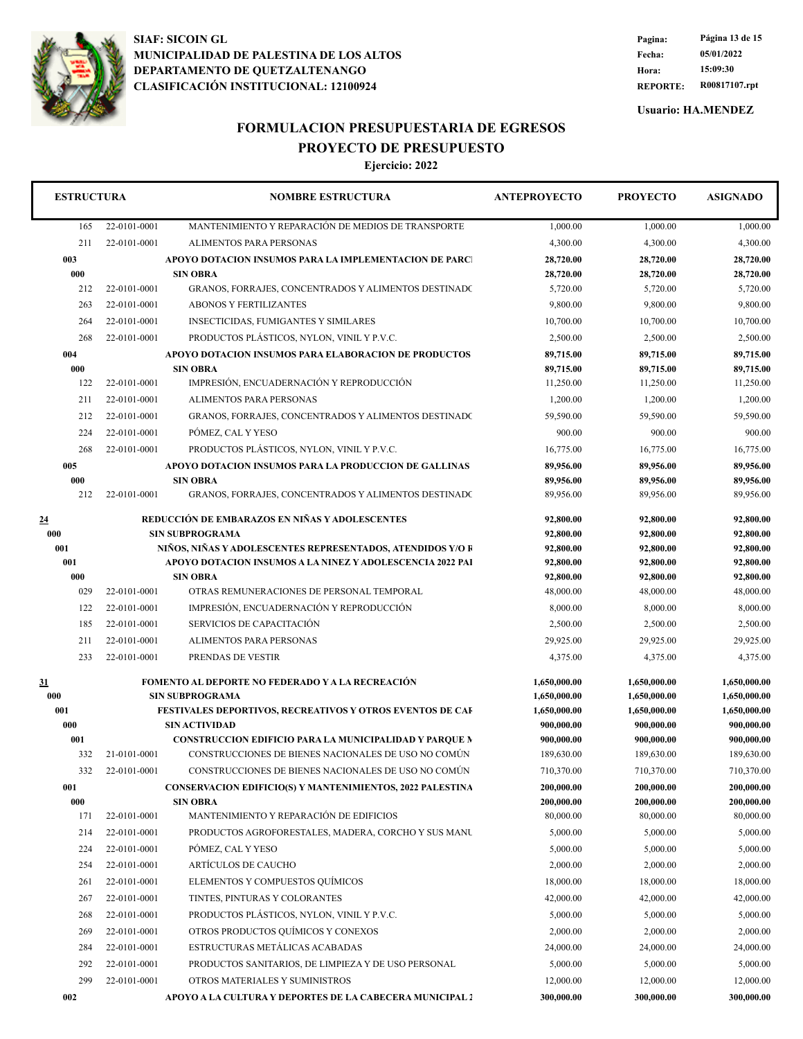

**REPORTE: R00817107.rpt Hora: 15:09:30 Fecha: 05/01/2022 Pagina: Página 13 de 15**

**Usuario: HA.MENDEZ**

# **FORMULACION PRESUPUESTARIA DE EGRESOS**

**PROYECTO DE PRESUPUESTO**

| <b>ESTRUCTURA</b> |              | <b>NOMBRE ESTRUCTURA</b>                                                                 | <b>ANTEPROYECTO</b>          | <b>PROYECTO</b>            | <b>ASIGNADO</b>            |
|-------------------|--------------|------------------------------------------------------------------------------------------|------------------------------|----------------------------|----------------------------|
| 165               | 22-0101-0001 | MANTENIMIENTO Y REPARACIÓN DE MEDIOS DE TRANSPORTE                                       | 1,000.00                     | 1,000.00                   | 1,000.00                   |
| 211               | 22-0101-0001 | <b>ALIMENTOS PARA PERSONAS</b>                                                           | 4,300.00                     | 4,300.00                   | 4,300.00                   |
| 003               |              | APOYO DOTACION INSUMOS PARA LA IMPLEMENTACION DE PARCI                                   | 28,720.00                    | 28,720.00                  | 28,720.00                  |
| 000               |              | <b>SIN OBRA</b>                                                                          | 28,720.00                    | 28,720.00                  | 28,720.00                  |
| 212               | 22-0101-0001 | GRANOS, FORRAJES, CONCENTRADOS Y ALIMENTOS DESTINADO                                     | 5,720.00                     | 5,720.00                   | 5,720.00                   |
| 263               | 22-0101-0001 | <b>ABONOS Y FERTILIZANTES</b>                                                            | 9,800.00                     | 9,800.00                   | 9,800.00                   |
| 264               | 22-0101-0001 | <b>INSECTICIDAS, FUMIGANTES Y SIMILARES</b>                                              | 10,700.00                    | 10,700.00                  | 10,700.00                  |
| 268               | 22-0101-0001 | PRODUCTOS PLÁSTICOS, NYLON, VINIL Y P.V.C.                                               | 2,500.00                     | 2,500.00                   | 2,500.00                   |
| 004               |              | APOYO DOTACION INSUMOS PARA ELABORACION DE PRODUCTOS                                     | 89,715.00                    | 89,715.00                  | 89,715.00                  |
| 000               |              | <b>SIN OBRA</b>                                                                          | 89,715.00                    | 89,715.00                  | 89,715.00                  |
| 122               | 22-0101-0001 | IMPRESIÓN, ENCUADERNACIÓN Y REPRODUCCIÓN                                                 | 11,250.00                    | 11,250.00                  | 11,250.00                  |
| 211               | 22-0101-0001 | ALIMENTOS PARA PERSONAS                                                                  | 1,200.00                     | 1,200.00                   | 1,200.00                   |
| 212               | 22-0101-0001 | GRANOS, FORRAJES, CONCENTRADOS Y ALIMENTOS DESTINADO                                     | 59,590.00                    | 59,590.00                  | 59,590.00                  |
| 224               | 22-0101-0001 | PÓMEZ, CAL Y YESO                                                                        | 900.00                       | 900.00                     | 900.00                     |
| 268               | 22-0101-0001 | PRODUCTOS PLÁSTICOS, NYLON, VINIL Y P.V.C.                                               | 16,775.00                    | 16,775.00                  | 16,775.00                  |
| 005               |              | APOYO DOTACION INSUMOS PARA LA PRODUCCION DE GALLINAS                                    | 89,956.00                    | 89,956.00                  | 89,956.00                  |
| 000<br>212        | 22-0101-0001 | <b>SIN OBRA</b><br>GRANOS, FORRAJES, CONCENTRADOS Y ALIMENTOS DESTINADO                  | 89,956.00<br>89,956.00       | 89,956.00<br>89,956.00     | 89,956.00<br>89,956.00     |
|                   |              |                                                                                          |                              |                            |                            |
| 24                |              | REDUCCIÓN DE EMBARAZOS EN NIÑAS Y ADOLESCENTES                                           | 92,800.00                    | 92,800.00                  | 92,800.00                  |
| 000               |              | <b>SIN SUBPROGRAMA</b>                                                                   | 92,800.00                    | 92,800.00                  | 92,800.00                  |
| 001               |              | NIÑOS, NIÑAS Y ADOLESCENTES REPRESENTADOS, ATENDIDOS Y/O R                               | 92,800.00                    | 92,800.00                  | 92,800.00                  |
| 001<br>000        |              | APOYO DOTACION INSUMOS A LA NINEZ Y ADOLESCENCIA 2022 PAI<br><b>SIN OBRA</b>             | 92,800.00<br>92,800.00       | 92,800.00<br>92,800.00     | 92,800.00<br>92,800.00     |
| 029               | 22-0101-0001 | OTRAS REMUNERACIONES DE PERSONAL TEMPORAL                                                | 48,000.00                    | 48,000.00                  | 48,000.00                  |
| 122               | 22-0101-0001 | IMPRESIÓN, ENCUADERNACIÓN Y REPRODUCCIÓN                                                 | 8,000.00                     | 8,000.00                   | 8,000.00                   |
| 185               | 22-0101-0001 | SERVICIOS DE CAPACITACIÓN                                                                | 2,500.00                     | 2,500.00                   | 2,500.00                   |
| 211               | 22-0101-0001 | ALIMENTOS PARA PERSONAS                                                                  | 29,925.00                    | 29,925.00                  | 29,925.00                  |
| 233               | 22-0101-0001 | PRENDAS DE VESTIR                                                                        | 4,375.00                     | 4,375.00                   | 4,375.00                   |
|                   |              |                                                                                          |                              |                            |                            |
| 31                |              | <b>FOMENTO AL DEPORTE NO FEDERADO Y A LA RECREACIÓN</b>                                  | 1,650,000.00                 | 1,650,000.00               | 1,650,000.00               |
| 000               |              | <b>SIN SUBPROGRAMA</b>                                                                   | 1,650,000.00<br>1,650,000.00 | 1,650,000.00               | 1,650,000.00               |
| 001<br>000        |              | <b>FESTIVALES DEPORTIVOS, RECREATIVOS Y OTROS EVENTOS DE CAF</b><br><b>SIN ACTIVIDAD</b> | 900,000.00                   | 1,650,000.00<br>900,000.00 | 1,650,000.00<br>900,000.00 |
| 001               |              | CONSTRUCCION EDIFICIO PARA LA MUNICIPALIDAD Y PARQUE M                                   | 900,000.00                   | 900,000.00                 | 900,000.00                 |
| 332               | 21-0101-0001 | CONSTRUCCIONES DE BIENES NACIONALES DE USO NO COMÚN                                      | 189,630.00                   | 189,630.00                 | 189,630.00                 |
| 332               | 22-0101-0001 | CONSTRUCCIONES DE BIENES NACIONALES DE USO NO COMÚN                                      | 710,370.00                   | 710,370.00                 | 710,370.00                 |
| 001               |              | <b>CONSERVACION EDIFICIO(S) Y MANTENIMIENTOS, 2022 PALESTINA</b>                         | 200,000.00                   | 200,000.00                 | 200,000.00                 |
| 000               |              | <b>SIN OBRA</b>                                                                          | 200,000.00                   | 200,000.00                 | 200,000.00                 |
| 171               | 22-0101-0001 | MANTENIMIENTO Y REPARACIÓN DE EDIFICIOS                                                  | 80,000.00                    | 80,000.00                  | 80,000.00                  |
| 214               | 22-0101-0001 | PRODUCTOS AGROFORESTALES, MADERA, CORCHO Y SUS MANU                                      | 5,000.00                     | 5,000.00                   | 5,000.00                   |
| 224               | 22-0101-0001 | POMEZ, CAL Y YESO                                                                        | 5,000.00                     | 5,000.00                   | 5,000.00                   |
| 254               | 22-0101-0001 | ARTÍCULOS DE CAUCHO                                                                      | 2,000.00                     | 2,000.00                   | 2,000.00                   |
| 261               | 22-0101-0001 | ELEMENTOS Y COMPUESTOS QUÍMICOS                                                          | 18,000.00                    | 18,000.00                  | 18,000.00                  |
| 267               | 22-0101-0001 | TINTES, PINTURAS Y COLORANTES                                                            | 42,000.00                    | 42,000.00                  | 42,000.00                  |
| 268               | 22-0101-0001 | PRODUCTOS PLÁSTICOS, NYLON, VINIL Y P.V.C.                                               | 5,000.00                     | 5,000.00                   | 5,000.00                   |
| 269               | 22-0101-0001 | OTROS PRODUCTOS QUÍMICOS Y CONEXOS                                                       | 2,000.00                     | 2,000.00                   | 2,000.00                   |
| 284               | 22-0101-0001 | ESTRUCTURAS METÁLICAS ACABADAS                                                           | 24,000.00                    | 24,000.00                  | 24,000.00                  |
| 292               | 22-0101-0001 | PRODUCTOS SANITARIOS, DE LIMPIEZA Y DE USO PERSONAL                                      | 5,000.00                     | 5,000.00                   | 5,000.00                   |
| 299               | 22-0101-0001 | OTROS MATERIALES Y SUMINISTROS                                                           | 12,000.00                    | 12,000.00                  | 12,000.00                  |
| 002               |              | APOYO A LA CULTURA Y DEPORTES DE LA CABECERA MUNICIPAL 2                                 | 300,000.00                   | 300,000.00                 | 300,000.00                 |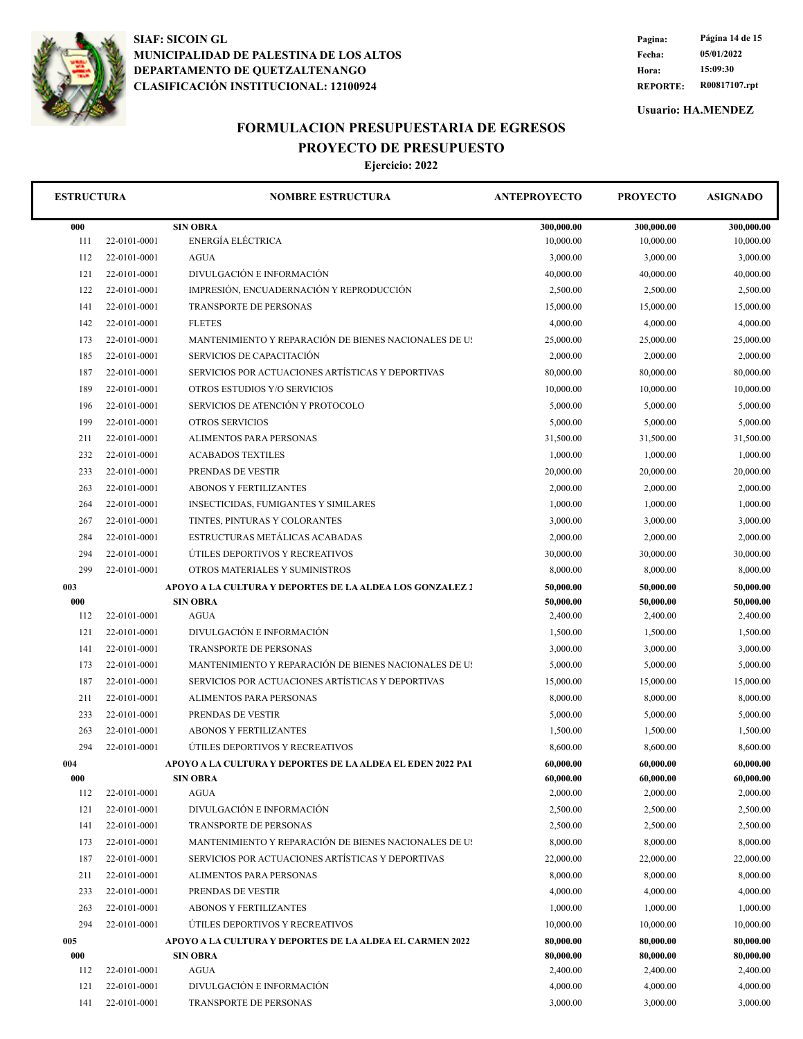

**REPORTE: R00817107.rpt Hora: 15:09:30 Fecha: 05/01/2022 Pagina: Página 14 de 15**

**Usuario: HA.MENDEZ**

# **FORMULACION PRESUPUESTARIA DE EGRESOS**

**PROYECTO DE PRESUPUESTO**

| <b>ESTRUCTURA</b> |              | <b>NOMBRE ESTRUCTURA</b>                                   | <b>ANTEPROYECTO</b>   | <b>PROYECTO</b>       | <b>ASIGNADO</b>       |
|-------------------|--------------|------------------------------------------------------------|-----------------------|-----------------------|-----------------------|
| 000               |              | <b>SIN OBRA</b>                                            | 300,000.00            | 300,000.00            | 300,000.00            |
| 111               | 22-0101-0001 | ENERGÍA ELÉCTRICA                                          | 10,000.00             | 10,000.00             | 10,000.00             |
| 112               | 22-0101-0001 | <b>AGUA</b>                                                | 3,000.00              | 3,000.00              | 3,000.00              |
| 121               | 22-0101-0001 | DIVULGACIÓN E INFORMACIÓN                                  | 40,000.00             | 40,000.00             | 40,000.00             |
| 122               | 22-0101-0001 | IMPRESIÓN, ENCUADERNACIÓN Y REPRODUCCIÓN                   | 2,500.00              | 2,500.00              | 2,500.00              |
| 141               | 22-0101-0001 | TRANSPORTE DE PERSONAS                                     | 15,000.00             | 15,000.00             | 15,000.00             |
| 142               | 22-0101-0001 | <b>FLETES</b>                                              | 4,000.00              | 4,000.00              | 4,000.00              |
| 173               | 22-0101-0001 | MANTENIMIENTO Y REPARACIÓN DE BIENES NACIONALES DE US      | 25,000.00             | 25,000.00             | 25,000.00             |
| 185               | 22-0101-0001 | SERVICIOS DE CAPACITACIÓN                                  | 2,000.00              | 2,000.00              | 2,000.00              |
| 187               | 22-0101-0001 | SERVICIOS POR ACTUACIONES ARTÍSTICAS Y DEPORTIVAS          | 80,000.00             | 80,000.00             | 80,000.00             |
| 189               | 22-0101-0001 | OTROS ESTUDIOS Y/O SERVICIOS                               | 10,000.00             | 10,000.00             | 10,000.00             |
| 196               | 22-0101-0001 | SERVICIOS DE ATENCIÓN Y PROTOCOLO                          | 5,000.00              | 5,000.00              | 5,000.00              |
| 199               | 22-0101-0001 | <b>OTROS SERVICIOS</b>                                     | 5,000.00              | 5,000.00              | 5,000.00              |
| 211               | 22-0101-0001 | ALIMENTOS PARA PERSONAS                                    | 31,500.00             | 31,500.00             | 31,500.00             |
| 232               | 22-0101-0001 | <b>ACABADOS TEXTILES</b>                                   | 1,000.00              | 1,000.00              | 1,000.00              |
| 233               | 22-0101-0001 | PRENDAS DE VESTIR                                          | 20,000.00             | 20,000.00             | 20,000.00             |
| 263               | 22-0101-0001 | <b>ABONOS Y FERTILIZANTES</b>                              | 2,000.00              | 2,000.00              | 2,000.00              |
| 264               | 22-0101-0001 | <b>INSECTICIDAS, FUMIGANTES Y SIMILARES</b>                | 1,000.00              | 1,000.00              | 1,000.00              |
| 267               | 22-0101-0001 | TINTES, PINTURAS Y COLORANTES                              | 3,000.00              | 3,000.00              | 3,000.00              |
| 284               | 22-0101-0001 | ESTRUCTURAS METÁLICAS ACABADAS                             | 2,000.00              | 2,000.00              | 2,000.00              |
| 294               | 22-0101-0001 | ÚTILES DEPORTIVOS Y RECREATIVOS                            | 30,000.00             | 30,000.00             | 30,000.00             |
| 299               | 22-0101-0001 | OTROS MATERIALES Y SUMINISTROS                             | 8,000.00              | 8,000.00              | 8,000.00              |
| 003               |              | APOYO A LA CULTURA Y DEPORTES DE LA ALDEA LOS GONZALEZ 2   | 50,000.00             | 50,000.00             | 50,000.00             |
| 000               |              | <b>SIN OBRA</b>                                            | 50,000.00             | 50,000.00             | 50,000.00             |
| 112               | 22-0101-0001 | <b>AGUA</b>                                                | 2,400.00              | 2,400.00              | 2,400.00              |
| 121               | 22-0101-0001 | DIVULGACIÓN E INFORMACIÓN                                  | 1,500.00              | 1,500.00              | 1,500.00              |
| 141               | 22-0101-0001 | TRANSPORTE DE PERSONAS                                     | 3,000.00              | 3,000.00              | 3,000.00              |
| 173               | 22-0101-0001 | MANTENIMIENTO Y REPARACIÓN DE BIENES NACIONALES DE US      | 5,000.00              | 5,000.00              | 5,000.00              |
| 187               | 22-0101-0001 | SERVICIOS POR ACTUACIONES ARTÍSTICAS Y DEPORTIVAS          | 15,000.00             | 15,000.00             | 15,000.00             |
| 211               | 22-0101-0001 | ALIMENTOS PARA PERSONAS                                    | 8,000.00              | 8,000.00              | 8,000.00              |
| 233               | 22-0101-0001 | PRENDAS DE VESTIR                                          | 5,000.00              | 5,000.00              | 5,000.00              |
| 263               | 22-0101-0001 | <b>ABONOS Y FERTILIZANTES</b>                              | 1,500.00              | 1,500.00              | 1,500.00              |
| 294               | 22-0101-0001 | ÚTILES DEPORTIVOS Y RECREATIVOS                            | 8,600.00              | 8,600.00              | 8,600.00              |
| 004               |              | APOYO A LA CULTURA Y DEPORTES DE LA ALDEA EL EDEN 2022 PAI | 60,000.00             | 60,000.00             | 60,000.00             |
| 000<br>112        | 22-0101-0001 | <b>SIN OBRA</b><br><b>AGUA</b>                             | 60,000.00<br>2,000.00 | 60,000.00<br>2,000.00 | 60,000.00<br>2,000.00 |
| 121               | 22-0101-0001 | DIVULGACIÓN E INFORMACIÓN                                  | 2,500.00              | 2,500.00              | 2,500.00              |
| 141               | 22-0101-0001 | <b>TRANSPORTE DE PERSONAS</b>                              | 2,500.00              | 2,500.00              | 2,500.00              |
| 173               | 22-0101-0001 | MANTENIMIENTO Y REPARACIÓN DE BIENES NACIONALES DE US      | 8,000.00              | 8,000.00              | 8,000.00              |
| 187               | 22-0101-0001 | SERVICIOS POR ACTUACIONES ARTÍSTICAS Y DEPORTIVAS          | 22,000.00             | 22,000.00             | 22,000.00             |
| 211               | 22-0101-0001 | ALIMENTOS PARA PERSONAS                                    | 8,000.00              | 8,000.00              | 8,000.00              |
| 233               | 22-0101-0001 | PRENDAS DE VESTIR                                          | 4,000.00              | 4,000.00              | 4,000.00              |
| 263               | 22-0101-0001 | <b>ABONOS Y FERTILIZANTES</b>                              | 1,000.00              | 1,000.00              | 1,000.00              |
| 294               | 22-0101-0001 | ÚTILES DEPORTIVOS Y RECREATIVOS                            | 10,000.00             | 10,000.00             | 10,000.00             |
| 005               |              | APOYO A LA CULTURA Y DEPORTES DE LA ALDEA EL CARMEN 2022   | 80,000.00             | 80,000.00             | 80,000.00             |
| 000               |              | <b>SIN OBRA</b>                                            | 80,000.00             | 80,000.00             | 80,000.00             |
| 112               | 22-0101-0001 | <b>AGUA</b>                                                | 2,400.00              | 2,400.00              | 2,400.00              |
| 121               | 22-0101-0001 | DIVULGACIÓN E INFORMACIÓN                                  | 4,000.00              | 4,000.00              | 4,000.00              |
| 141               | 22-0101-0001 | TRANSPORTE DE PERSONAS                                     | 3,000.00              | 3,000.00              | 3,000.00              |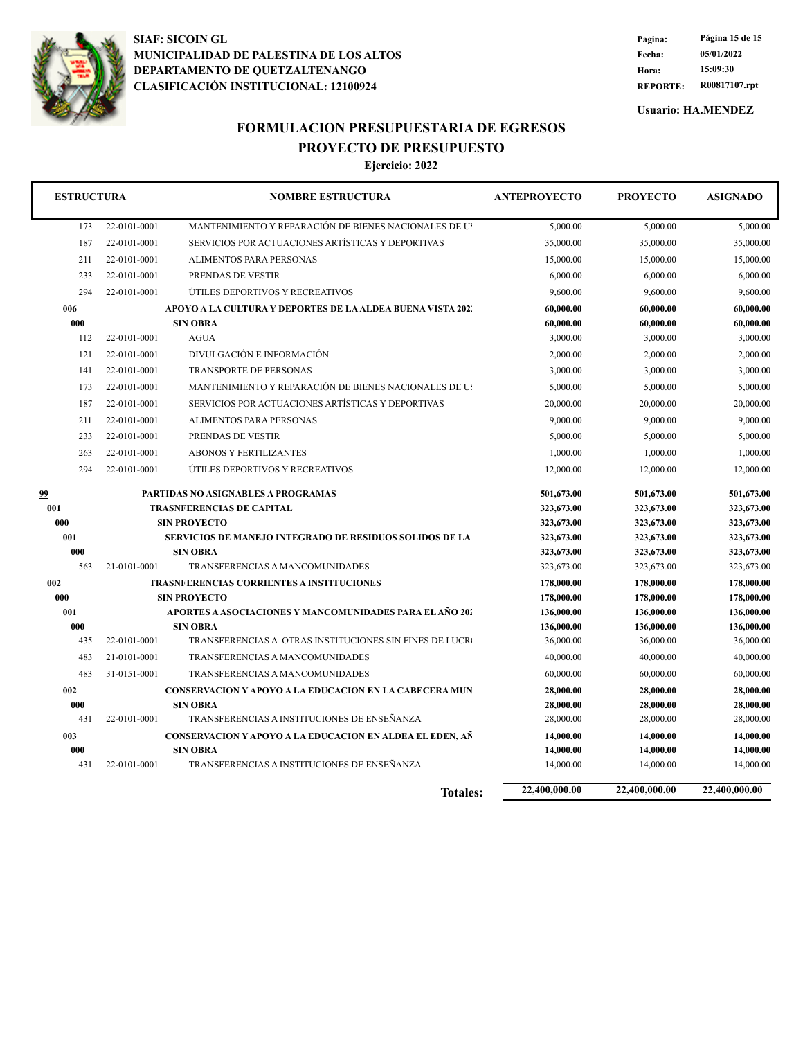

**REPORTE: R00817107.rpt Hora: 15:09:30 Fecha: 05/01/2022 Pagina: Página 15 de 15**

**Usuario: HA.MENDEZ**

### **FORMULACION PRESUPUESTARIA DE EGRESOS PROYECTO DE PRESUPUESTO**

| <b>ESTRUCTURA</b> |              | <b>NOMBRE ESTRUCTURA</b>                                                   | <b>ANTEPROYECTO</b>      | <b>PROYECTO</b>          | <b>ASIGNADO</b>          |
|-------------------|--------------|----------------------------------------------------------------------------|--------------------------|--------------------------|--------------------------|
| 173               | 22-0101-0001 | MANTENIMIENTO Y REPARACIÓN DE BIENES NACIONALES DE US                      | 5,000.00                 | 5,000.00                 | 5,000.00                 |
| 187               | 22-0101-0001 | SERVICIOS POR ACTUACIONES ARTÍSTICAS Y DEPORTIVAS                          | 35,000.00                | 35,000.00                | 35,000.00                |
| 211               | 22-0101-0001 | <b>ALIMENTOS PARA PERSONAS</b>                                             | 15,000.00                | 15,000.00                | 15,000.00                |
| 233               | 22-0101-0001 | PRENDAS DE VESTIR                                                          | 6,000.00                 | 6,000.00                 | 6,000.00                 |
| 294               | 22-0101-0001 | ÚTILES DEPORTIVOS Y RECREATIVOS                                            | 9,600.00                 | 9,600.00                 | 9,600.00                 |
| 006               |              | APOYO A LA CULTURA Y DEPORTES DE LA ALDEA BUENA VISTA 202.                 | 60,000.00                | 60,000.00                | 60,000.00                |
| 000               |              | <b>SIN OBRA</b>                                                            | 60,000.00                | 60,000.00                | 60,000.00                |
| 112               | 22-0101-0001 | <b>AGUA</b>                                                                | 3,000.00                 | 3,000.00                 | 3,000.00                 |
| 121               | 22-0101-0001 | DIVULGACIÓN E INFORMACIÓN                                                  | 2,000.00                 | 2,000.00                 | 2,000.00                 |
| 141               | 22-0101-0001 | <b>TRANSPORTE DE PERSONAS</b>                                              | 3,000.00                 | 3,000.00                 | 3,000.00                 |
| 173               | 22-0101-0001 | MANTENIMIENTO Y REPARACIÓN DE BIENES NACIONALES DE US                      | 5,000.00                 | 5,000.00                 | 5,000.00                 |
| 187               | 22-0101-0001 | SERVICIOS POR ACTUACIONES ARTÍSTICAS Y DEPORTIVAS                          | 20,000.00                | 20,000.00                | 20,000.00                |
| 211               | 22-0101-0001 | <b>ALIMENTOS PARA PERSONAS</b>                                             | 9,000.00                 | 9,000.00                 | 9,000.00                 |
| 233               | 22-0101-0001 | PRENDAS DE VESTIR                                                          | 5,000.00                 | 5,000.00                 | 5,000.00                 |
| 263               | 22-0101-0001 | <b>ABONOS Y FERTILIZANTES</b>                                              | 1,000.00                 | 1,000.00                 | 1,000.00                 |
| 294               | 22-0101-0001 | ÚTILES DEPORTIVOS Y RECREATIVOS                                            | 12,000.00                | 12,000.00                | 12,000.00                |
| 99                |              | PARTIDAS NO ASIGNABLES A PROGRAMAS                                         | 501,673.00               | 501,673.00               | 501,673.00               |
| 001               |              | <b>TRASNFERENCIAS DE CAPITAL</b>                                           | 323,673.00               | 323,673.00               | 323,673.00               |
| 000               |              | <b>SIN PROYECTO</b>                                                        | 323,673.00               | 323,673.00               | 323,673.00               |
| 001               |              | <b>SERVICIOS DE MANEJO INTEGRADO DE RESIDUOS SOLIDOS DE LA</b>             | 323,673.00               | 323,673.00               | 323,673.00               |
| 000               |              | <b>SIN OBRA</b>                                                            | 323,673.00               | 323,673.00               | 323,673.00               |
| 563               | 21-0101-0001 | TRANSFERENCIAS A MANCOMUNIDADES                                            | 323,673.00               | 323,673.00               | 323,673.00               |
| 002               |              | TRASNFERENCIAS CORRIENTES A INSTITUCIONES                                  | 178,000.00               | 178,000.00               | 178,000.00               |
| 000               |              | <b>SIN PROYECTO</b>                                                        | 178,000.00               | 178,000.00               | 178,000.00               |
| 001<br>000        |              | APORTES A ASOCIACIONES Y MANCOMUNIDADES PARA EL AÑO 202<br><b>SIN OBRA</b> | 136,000.00<br>136,000.00 | 136,000.00<br>136,000.00 | 136,000.00<br>136,000.00 |
| 435               | 22-0101-0001 | TRANSFERENCIAS A OTRAS INSTITUCIONES SIN FINES DE LUCRO                    | 36,000.00                | 36,000.00                | 36,000.00                |
| 483               | 21-0101-0001 | TRANSFERENCIAS A MANCOMUNIDADES                                            | 40,000.00                | 40,000.00                | 40,000.00                |
| 483               | 31-0151-0001 | TRANSFERENCIAS A MANCOMUNIDADES                                            | 60,000.00                | 60,000.00                | 60,000.00                |
| 002               |              | <b>CONSERVACION Y APOYO A LA EDUCACION EN LA CABECERA MUN</b>              | 28,000.00                | 28,000.00                | 28,000.00                |
| 000               |              | <b>SIN OBRA</b>                                                            | 28,000.00                | 28,000.00                | 28,000.00                |
| 431               | 22-0101-0001 | TRANSFERENCIAS A INSTITUCIONES DE ENSEÑANZA                                | 28,000.00                | 28,000.00                | 28,000.00                |
| 003               |              | CONSERVACION Y APOYO A LA EDUCACION EN ALDEA EL EDEN, AÑ                   | 14,000.00                | 14,000.00                | 14,000.00                |
| 000               |              | <b>SIN OBRA</b>                                                            | 14,000.00                | 14,000.00                | 14,000.00                |
| 431               | 22-0101-0001 | TRANSFERENCIAS A INSTITUCIONES DE ENSEÑANZA                                | 14,000.00                | 14,000.00                | 14,000.00                |
|                   |              | <b>Totales:</b>                                                            | 22,400,000.00            | 22,400,000.00            | 22,400,000.00            |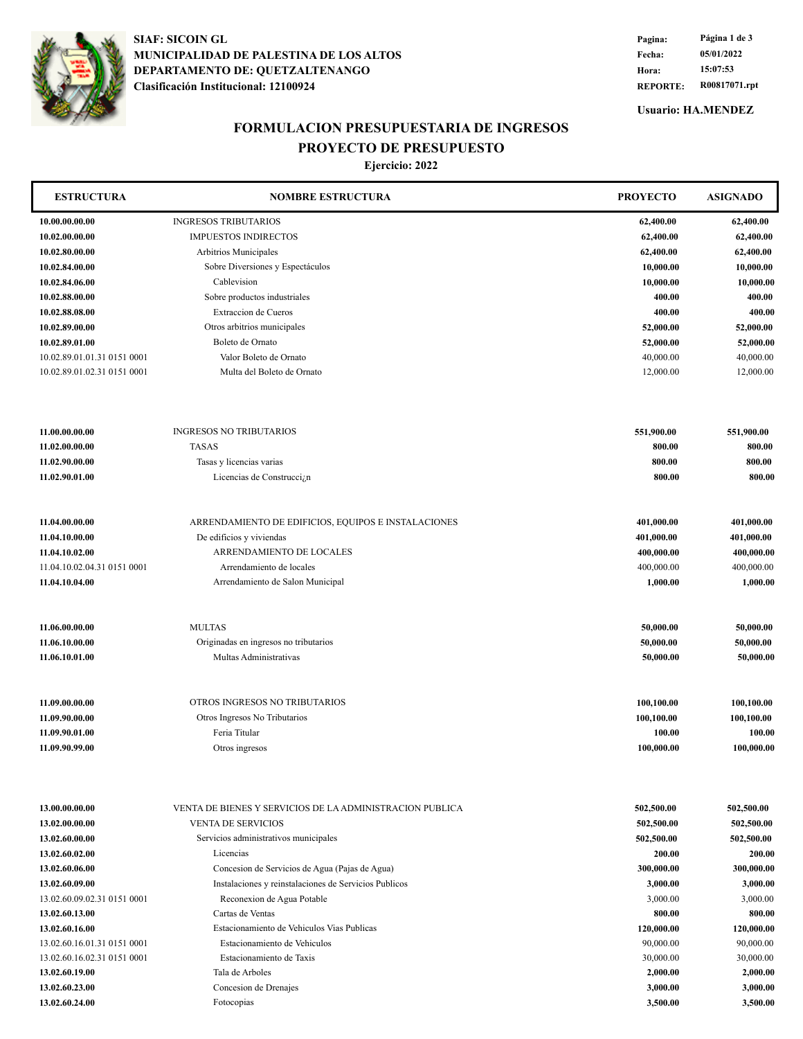

**Clasificación Institucional: 12100924 DEPARTAMENTO DE: QUETZALTENANGO MUNICIPALIDAD DE PALESTINA DE LOS ALTOS SIAF: SICOIN GL**

**REPORTE: R00817071.rpt Hora: 15:07:53 Fecha: 05/01/2022 Pagina: Página 1 de 3**

**Usuario: HA.MENDEZ**

### **FORMULACION PRESUPUESTARIA DE INGRESOS PROYECTO DE PRESUPUESTO**

| <b>ESTRUCTURA</b>           | <b>NOMBRE ESTRUCTURA</b>                                 | <b>PROYECTO</b> | <b>ASIGNADO</b> |
|-----------------------------|----------------------------------------------------------|-----------------|-----------------|
| 10.00.00.00.00              | <b>INGRESOS TRIBUTARIOS</b>                              | 62,400.00       | 62,400.00       |
| 10.02.00.00.00              | <b>IMPUESTOS INDIRECTOS</b>                              | 62,400.00       | 62,400.00       |
| 10.02.80.00.00              | Arbitrios Municipales                                    | 62,400.00       | 62,400.00       |
| 10.02.84.00.00              | Sobre Diversiones y Espectáculos                         | 10,000.00       | 10,000.00       |
| 10.02.84.06.00              | Cablevision                                              | 10,000.00       | 10,000.00       |
| 10.02.88.00.00              | Sobre productos industriales                             | 400.00          | 400.00          |
| 10.02.88.08.00              | Extraccion de Cueros                                     | 400.00          | 400.00          |
| 10.02.89.00.00              | Otros arbitrios municipales                              | 52,000.00       | 52,000.00       |
| 10.02.89.01.00              | Boleto de Ornato                                         | 52,000.00       | 52,000.00       |
| 10.02.89.01.01.31 0151 0001 | Valor Boleto de Ornato                                   | 40,000.00       | 40,000.00       |
| 10.02.89.01.02.31 0151 0001 | Multa del Boleto de Ornato                               | 12,000.00       | 12,000.00       |
| 11.00.00.00.00              | <b>INGRESOS NO TRIBUTARIOS</b>                           | 551,900.00      | 551,900.00      |
| 11.02.00.00.00              | <b>TASAS</b>                                             | 800.00          | 800.00          |
| 11.02.90.00.00              | Tasas y licencias varias                                 | 800.00          | 800.00          |
| 11.02.90.01.00              | Licencias de Construcci <sub>ó</sub> n                   | 800.00          | 800.00          |
| 11.04.00.00.00              | ARRENDAMIENTO DE EDIFICIOS, EQUIPOS E INSTALACIONES      | 401,000.00      | 401,000.00      |
| 11.04.10.00.00              | De edificios y viviendas                                 | 401,000.00      | 401,000.00      |
| 11.04.10.02.00              | ARRENDAMIENTO DE LOCALES                                 | 400,000.00      | 400,000.00      |
| 11.04.10.02.04.31 0151 0001 | Arrendamiento de locales                                 | 400,000.00      | 400,000.00      |
| 11.04.10.04.00              | Arrendamiento de Salon Municipal                         | 1,000.00        | 1,000.00        |
|                             |                                                          |                 |                 |
| 11.06.00.00.00              | <b>MULTAS</b>                                            | 50,000.00       | 50,000.00       |
| 11.06.10.00.00              | Originadas en ingresos no tributarios                    | 50,000.00       | 50,000.00       |
| 11.06.10.01.00              | Multas Administrativas                                   | 50,000.00       | 50,000.00       |
| 11.09.00.00.00              | OTROS INGRESOS NO TRIBUTARIOS                            | 100,100.00      | 100,100.00      |
| 11.09.90.00.00              | Otros Ingresos No Tributarios                            | 100,100.00      | 100,100.00      |
| 11.09.90.01.00              | Feria Titular                                            | 100.00          | 100.00          |
| 11.09.90.99.00              | Otros ingresos                                           | 100,000.00      | 100,000.00      |
|                             |                                                          |                 |                 |
| 13.00.00.00.00              | VENTA DE BIENES Y SERVICIOS DE LA ADMINISTRACION PUBLICA | 502,500.00      | 502,500.00      |
| 13.02.00.00.00              | <b>VENTA DE SERVICIOS</b>                                | 502,500.00      | 502,500.00      |
| 13.02.60.00.00              | Servicios administrativos municipales                    | 502,500.00      | 502,500.00      |
| 13.02.60.02.00              | Licencias                                                | 200.00          | 200.00          |
| 13.02.60.06.00              | Concesion de Servicios de Agua (Pajas de Agua)           | 300,000.00      | 300,000.00      |
| 13.02.60.09.00              | Instalaciones y reinstalaciones de Servicios Publicos    | 3,000.00        | 3,000.00        |
| 13.02.60.09.02.31 0151 0001 | Reconexion de Agua Potable                               | 3,000.00        | 3,000.00        |
| 13.02.60.13.00              | Cartas de Ventas                                         | 800.00          | 800.00          |
| 13.02.60.16.00              | Estacionamiento de Vehiculos Vias Publicas               | 120,000.00      | 120,000.00      |
| 13.02.60.16.01.31 0151 0001 | Estacionamiento de Vehiculos                             | 90,000.00       | 90,000.00       |
| 13.02.60.16.02.31 0151 0001 | Estacionamiento de Taxis                                 | 30,000.00       | 30,000.00       |
| 13.02.60.19.00              | Tala de Arboles                                          | 2,000.00        | 2,000.00        |
| 13.02.60.23.00              | Concesion de Drenajes                                    | 3,000.00        | 3,000.00        |
| 13.02.60.24.00              | Fotocopias                                               | 3,500.00        | 3,500.00        |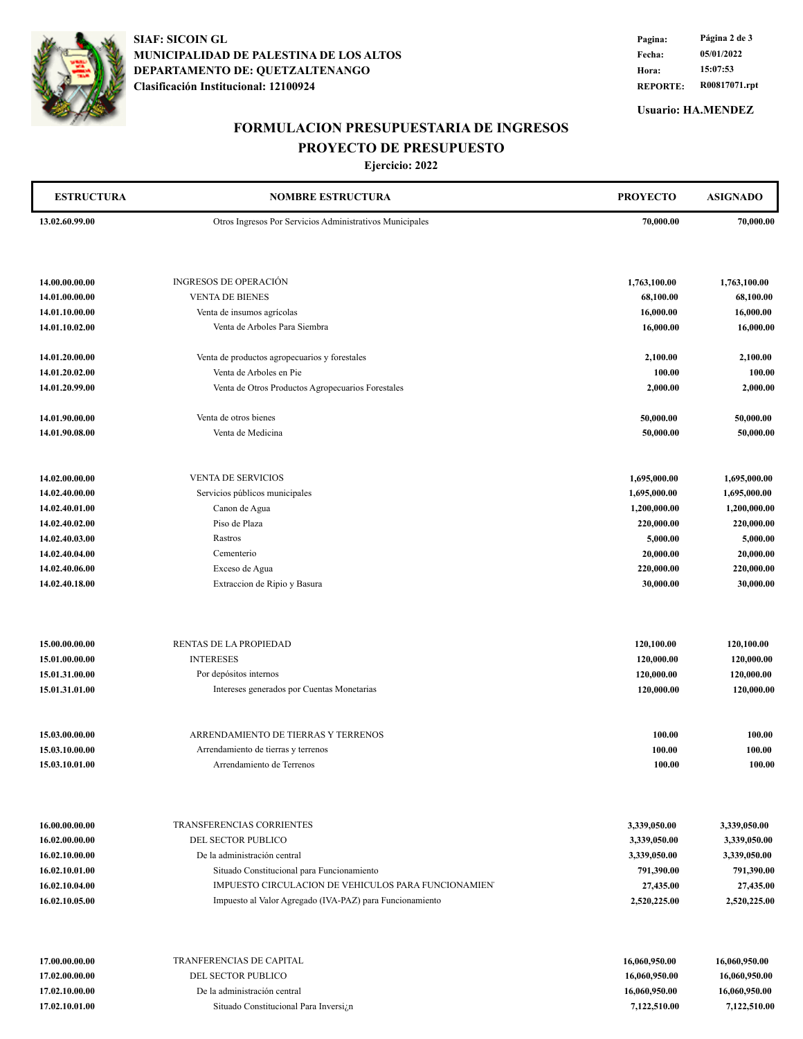

**Clasificación Institucional: 12100924 DEPARTAMENTO DE: QUETZALTENANGO MUNICIPALIDAD DE PALESTINA DE LOS ALTOS SIAF: SICOIN GL**

**REPORTE: R00817071.rpt Hora: 15:07:53 Fecha: 05/01/2022 Pagina: Página 2 de 3**

**Usuario: HA.MENDEZ**

## **FORMULACION PRESUPUESTARIA DE INGRESOS**

**PROYECTO DE PRESUPUESTO**

| <b>ESTRUCTURA</b>                | <b>NOMBRE ESTRUCTURA</b>                                 | <b>PROYECTO</b>              | <b>ASIGNADO</b>              |
|----------------------------------|----------------------------------------------------------|------------------------------|------------------------------|
| 13.02.60.99.00                   | Otros Ingresos Por Servicios Administrativos Municipales | 70,000.00                    | 70,000.00                    |
|                                  |                                                          |                              |                              |
|                                  |                                                          |                              |                              |
| 14.00.00.00.00                   | <b>INGRESOS DE OPERACIÓN</b>                             | 1,763,100.00                 | 1,763,100.00                 |
| 14.01.00.00.00                   | <b>VENTA DE BIENES</b>                                   | 68,100.00                    | 68,100.00                    |
| 14.01.10.00.00                   | Venta de insumos agrícolas                               | 16,000.00                    | 16,000.00                    |
| 14.01.10.02.00                   | Venta de Arboles Para Siembra                            | 16,000.00                    | 16,000.00                    |
|                                  |                                                          |                              |                              |
| 14.01.20.00.00                   | Venta de productos agropecuarios y forestales            | 2,100.00                     | 2,100.00                     |
| 14.01.20.02.00                   | Venta de Arboles en Pie                                  | 100.00                       | 100.00                       |
| 14.01.20.99.00                   | Venta de Otros Productos Agropecuarios Forestales        | 2,000.00                     | 2,000.00                     |
| 14.01.90.00.00                   | Venta de otros bienes                                    | 50,000.00                    | 50,000.00                    |
| 14.01.90.08.00                   | Venta de Medicina                                        | 50,000.00                    | 50,000.00                    |
|                                  |                                                          |                              |                              |
|                                  |                                                          |                              |                              |
| 14.02.00.00.00                   | <b>VENTA DE SERVICIOS</b>                                | 1,695,000.00                 | 1,695,000.00                 |
| 14.02.40.00.00<br>14.02.40.01.00 | Servicios públicos municipales<br>Canon de Agua          | 1,695,000.00<br>1,200,000.00 | 1,695,000.00<br>1,200,000.00 |
| 14.02.40.02.00                   | Piso de Plaza                                            | 220,000.00                   | 220,000.00                   |
| 14.02.40.03.00                   | Rastros                                                  | 5,000.00                     | 5,000.00                     |
| 14.02.40.04.00                   | Cementerio                                               | 20,000.00                    | 20,000.00                    |
| 14.02.40.06.00                   | Exceso de Agua                                           | 220,000.00                   | 220,000.00                   |
| 14.02.40.18.00                   | Extraccion de Ripio y Basura                             | 30,000.00                    | 30,000.00                    |
| 15.00.00.00.00                   | RENTAS DE LA PROPIEDAD                                   | 120,100.00                   | 120,100.00                   |
| 15.01.00.00.00                   | <b>INTERESES</b>                                         | 120,000.00                   | 120,000.00                   |
| 15.01.31.00.00                   | Por depósitos internos                                   | 120,000.00                   | 120,000.00                   |
| 15.01.31.01.00                   | Intereses generados por Cuentas Monetarias               | 120,000.00                   | 120,000.00                   |
|                                  |                                                          |                              |                              |
| 15.03.00.00.00                   | ARRENDAMIENTO DE TIERRAS Y TERRENOS                      | 100.00                       | 100.00                       |
| 15.03.10.00.00                   | Arrendamiento de tierras y terrenos                      | 100.00                       | 100.00                       |
| 15.03.10.01.00                   | Arrendamiento de Terrenos                                | 100.00                       | 100.00                       |
|                                  |                                                          |                              |                              |
| 16.00.00.00.00                   | TRANSFERENCIAS CORRIENTES                                | 3,339,050.00                 | 3,339,050.00                 |
| 16.02.00.00.00                   | DEL SECTOR PUBLICO                                       | 3,339,050.00                 | 3,339,050.00                 |
| 16.02.10.00.00                   | De la administración central                             | 3,339,050.00                 | 3,339,050.00                 |
| 16.02.10.01.00                   | Situado Constitucional para Funcionamiento               | 791,390.00                   | 791,390.00                   |
| 16.02.10.04.00                   | IMPUESTO CIRCULACION DE VEHICULOS PARA FUNCIONAMIEN      | 27,435.00                    | 27,435.00                    |
| 16.02.10.05.00                   | Impuesto al Valor Agregado (IVA-PAZ) para Funcionamiento | 2,520,225.00                 | 2,520,225.00                 |
| 17.00.00.00.00                   | TRANFERENCIAS DE CAPITAL                                 | 16,060,950.00                | 16,060,950.00                |
| 17.02.00.00.00                   | DEL SECTOR PUBLICO                                       | 16,060,950.00                | 16,060,950.00                |
| 17.02.10.00.00                   | De la administración central                             | 16,060,950.00                | 16,060,950.00                |
| 17.02.10.01.00                   | Situado Constitucional Para Inversian                    | 7,122,510.00                 | 7,122,510.00                 |